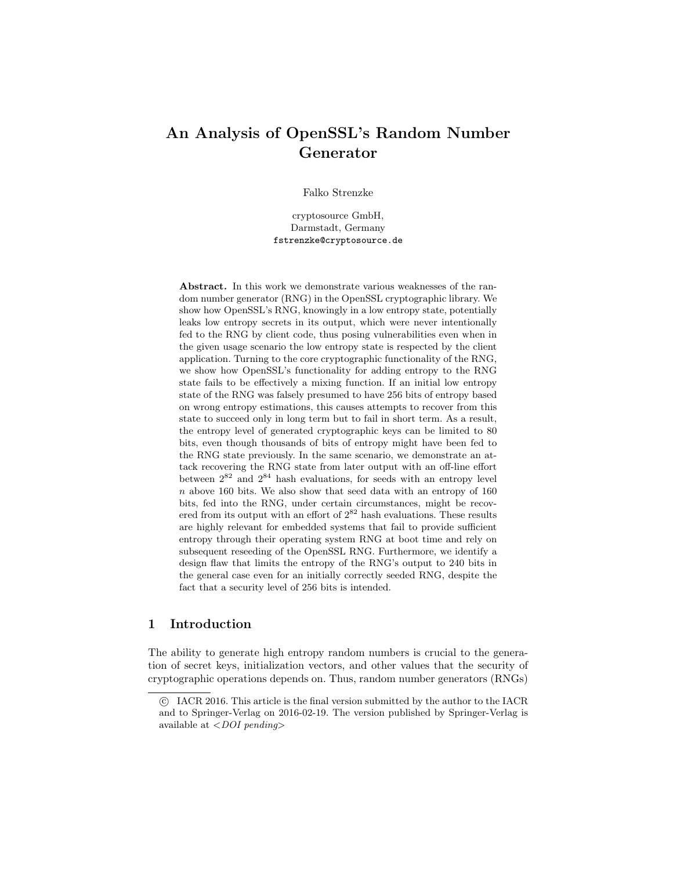# An Analysis of OpenSSL's Random Number Generator

Falko Strenzke

cryptosource GmbH, Darmstadt, Germany fstrenzke@cryptosource.de

Abstract. In this work we demonstrate various weaknesses of the random number generator (RNG) in the OpenSSL cryptographic library. We show how OpenSSL's RNG, knowingly in a low entropy state, potentially leaks low entropy secrets in its output, which were never intentionally fed to the RNG by client code, thus posing vulnerabilities even when in the given usage scenario the low entropy state is respected by the client application. Turning to the core cryptographic functionality of the RNG, we show how OpenSSL's functionality for adding entropy to the RNG state fails to be effectively a mixing function. If an initial low entropy state of the RNG was falsely presumed to have 256 bits of entropy based on wrong entropy estimations, this causes attempts to recover from this state to succeed only in long term but to fail in short term. As a result, the entropy level of generated cryptographic keys can be limited to 80 bits, even though thousands of bits of entropy might have been fed to the RNG state previously. In the same scenario, we demonstrate an attack recovering the RNG state from later output with an off-line effort between  $2^{82}$  and  $2^{84}$  hash evaluations, for seeds with an entropy level  $n$  above 160 bits. We also show that seed data with an entropy of 160 bits, fed into the RNG, under certain circumstances, might be recovered from its output with an effort of  $2^{82}$  hash evaluations. These results are highly relevant for embedded systems that fail to provide sufficient entropy through their operating system RNG at boot time and rely on subsequent reseeding of the OpenSSL RNG. Furthermore, we identify a design flaw that limits the entropy of the RNG's output to 240 bits in the general case even for an initially correctly seeded RNG, despite the fact that a security level of 256 bits is intended.

## 1 Introduction

The ability to generate high entropy random numbers is crucial to the generation of secret keys, initialization vectors, and other values that the security of cryptographic operations depends on. Thus, random number generators (RNGs)

c IACR 2016. This article is the final version submitted by the author to the IACR and to Springer-Verlag on 2016-02-19. The version published by Springer-Verlag is available at  $\langle DOI$  pending>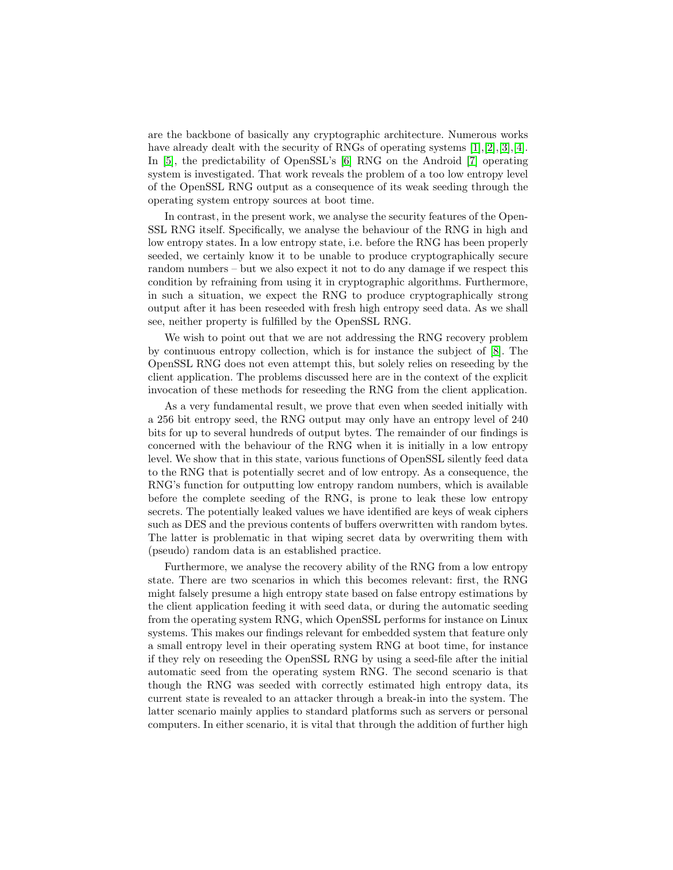are the backbone of basically any cryptographic architecture. Numerous works have already dealt with the security of RNGs of operating systems [\[1\]](#page-24-0), [\[2\]](#page-24-1), [\[3\]](#page-24-2), [\[4\]](#page-24-3). In [\[5\]](#page-24-4), the predictability of OpenSSL's [\[6\]](#page-24-5) RNG on the Android [\[7\]](#page-24-6) operating system is investigated. That work reveals the problem of a too low entropy level of the OpenSSL RNG output as a consequence of its weak seeding through the operating system entropy sources at boot time.

In contrast, in the present work, we analyse the security features of the Open-SSL RNG itself. Specifically, we analyse the behaviour of the RNG in high and low entropy states. In a low entropy state, i.e. before the RNG has been properly seeded, we certainly know it to be unable to produce cryptographically secure random numbers – but we also expect it not to do any damage if we respect this condition by refraining from using it in cryptographic algorithms. Furthermore, in such a situation, we expect the RNG to produce cryptographically strong output after it has been reseeded with fresh high entropy seed data. As we shall see, neither property is fulfilled by the OpenSSL RNG.

We wish to point out that we are not addressing the RNG recovery problem by continuous entropy collection, which is for instance the subject of [\[8\]](#page-24-7). The OpenSSL RNG does not even attempt this, but solely relies on reseeding by the client application. The problems discussed here are in the context of the explicit invocation of these methods for reseeding the RNG from the client application.

As a very fundamental result, we prove that even when seeded initially with a 256 bit entropy seed, the RNG output may only have an entropy level of 240 bits for up to several hundreds of output bytes. The remainder of our findings is concerned with the behaviour of the RNG when it is initially in a low entropy level. We show that in this state, various functions of OpenSSL silently feed data to the RNG that is potentially secret and of low entropy. As a consequence, the RNG's function for outputting low entropy random numbers, which is available before the complete seeding of the RNG, is prone to leak these low entropy secrets. The potentially leaked values we have identified are keys of weak ciphers such as DES and the previous contents of buffers overwritten with random bytes. The latter is problematic in that wiping secret data by overwriting them with (pseudo) random data is an established practice.

Furthermore, we analyse the recovery ability of the RNG from a low entropy state. There are two scenarios in which this becomes relevant: first, the RNG might falsely presume a high entropy state based on false entropy estimations by the client application feeding it with seed data, or during the automatic seeding from the operating system RNG, which OpenSSL performs for instance on Linux systems. This makes our findings relevant for embedded system that feature only a small entropy level in their operating system RNG at boot time, for instance if they rely on reseeding the OpenSSL RNG by using a seed-file after the initial automatic seed from the operating system RNG. The second scenario is that though the RNG was seeded with correctly estimated high entropy data, its current state is revealed to an attacker through a break-in into the system. The latter scenario mainly applies to standard platforms such as servers or personal computers. In either scenario, it is vital that through the addition of further high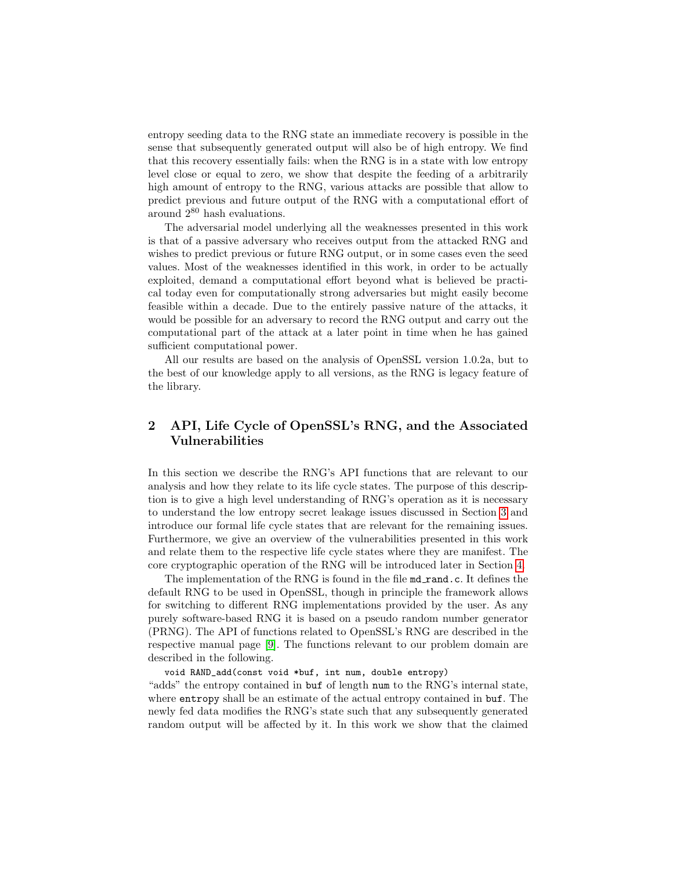entropy seeding data to the RNG state an immediate recovery is possible in the sense that subsequently generated output will also be of high entropy. We find that this recovery essentially fails: when the RNG is in a state with low entropy level close or equal to zero, we show that despite the feeding of a arbitrarily high amount of entropy to the RNG, various attacks are possible that allow to predict previous and future output of the RNG with a computational effort of around  $2^{80}$  hash evaluations.

The adversarial model underlying all the weaknesses presented in this work is that of a passive adversary who receives output from the attacked RNG and wishes to predict previous or future RNG output, or in some cases even the seed values. Most of the weaknesses identified in this work, in order to be actually exploited, demand a computational effort beyond what is believed be practical today even for computationally strong adversaries but might easily become feasible within a decade. Due to the entirely passive nature of the attacks, it would be possible for an adversary to record the RNG output and carry out the computational part of the attack at a later point in time when he has gained sufficient computational power.

All our results are based on the analysis of OpenSSL version 1.0.2a, but to the best of our knowledge apply to all versions, as the RNG is legacy feature of the library.

# <span id="page-2-0"></span>2 API, Life Cycle of OpenSSL's RNG, and the Associated Vulnerabilities

In this section we describe the RNG's API functions that are relevant to our analysis and how they relate to its life cycle states. The purpose of this description is to give a high level understanding of RNG's operation as it is necessary to understand the low entropy secret leakage issues discussed in Section [3](#page-4-0) and introduce our formal life cycle states that are relevant for the remaining issues. Furthermore, we give an overview of the vulnerabilities presented in this work and relate them to the respective life cycle states where they are manifest. The core cryptographic operation of the RNG will be introduced later in Section [4.](#page-8-0)

The implementation of the RNG is found in the file  $md\_rand.c$ . It defines the default RNG to be used in OpenSSL, though in principle the framework allows for switching to different RNG implementations provided by the user. As any purely software-based RNG it is based on a pseudo random number generator (PRNG). The API of functions related to OpenSSL's RNG are described in the respective manual page [\[9\]](#page-24-8). The functions relevant to our problem domain are described in the following.

void RAND\_add(const void \*buf, int num, double entropy) "adds" the entropy contained in buf of length num to the RNG's internal state, where entropy shall be an estimate of the actual entropy contained in buf. The newly fed data modifies the RNG's state such that any subsequently generated

random output will be affected by it. In this work we show that the claimed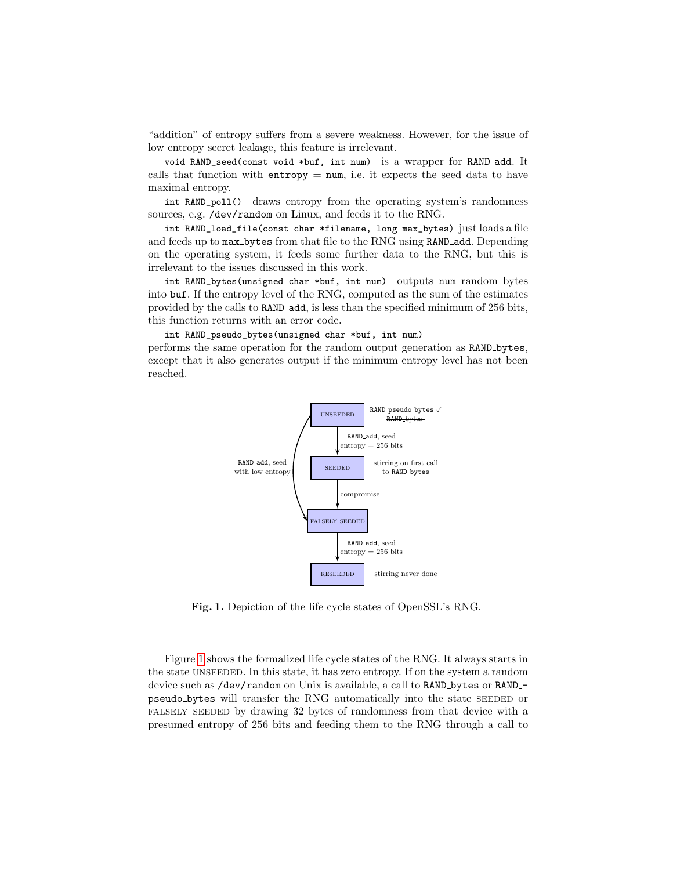"addition" of entropy suffers from a severe weakness. However, for the issue of low entropy secret leakage, this feature is irrelevant.

void RAND\_seed(const void \*buf, int num) is a wrapper for RAND add. It calls that function with entropy  $=$  num, i.e. it expects the seed data to have maximal entropy.

int RAND\_poll() draws entropy from the operating system's randomness sources, e.g. /dev/random on Linux, and feeds it to the RNG.

int RAND\_load\_file(const char \*filename, long max\_bytes) just loads a file and feeds up to max bytes from that file to the RNG using RAND add. Depending on the operating system, it feeds some further data to the RNG, but this is irrelevant to the issues discussed in this work.

int RAND\_bytes(unsigned char \*buf, int num) outputs num random bytes into buf. If the entropy level of the RNG, computed as the sum of the estimates provided by the calls to RAND add, is less than the specified minimum of 256 bits, this function returns with an error code.

int RAND\_pseudo\_bytes(unsigned char \*buf, int num)

performs the same operation for the random output generation as RAND bytes, except that it also generates output if the minimum entropy level has not been reached.



<span id="page-3-0"></span>Fig. 1. Depiction of the life cycle states of OpenSSL's RNG.

Figure [1](#page-3-0) shows the formalized life cycle states of the RNG. It always starts in the state unseeded. In this state, it has zero entropy. If on the system a random device such as /dev/random on Unix is available, a call to RAND\_bytes or RAND\_pseudo bytes will transfer the RNG automatically into the state seeded or FALSELY SEEDED by drawing 32 bytes of randomness from that device with a presumed entropy of 256 bits and feeding them to the RNG through a call to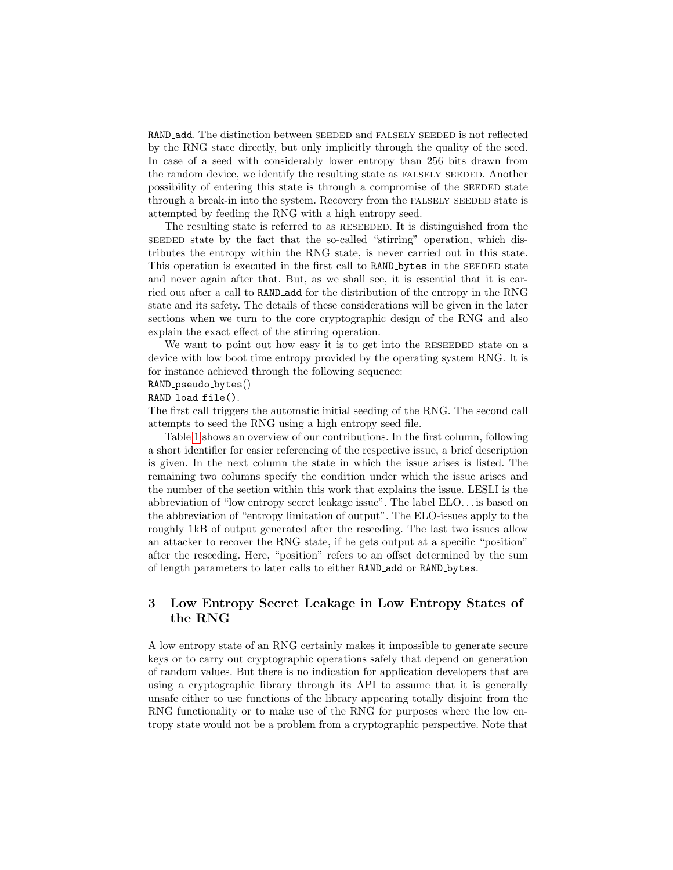RAND add. The distinction between seeded and falsely seeded is not reflected by the RNG state directly, but only implicitly through the quality of the seed. In case of a seed with considerably lower entropy than 256 bits drawn from the random device, we identify the resulting state as FALSELY SEEDED. Another possibility of entering this state is through a compromise of the SEEDED state through a break-in into the system. Recovery from the FALSELY SEEDED state is attempted by feeding the RNG with a high entropy seed.

The resulting state is referred to as RESEEDED. It is distinguished from the seeded state by the fact that the so-called "stirring" operation, which distributes the entropy within the RNG state, is never carried out in this state. This operation is executed in the first call to RAND bytes in the SEEDED state and never again after that. But, as we shall see, it is essential that it is carried out after a call to RAND add for the distribution of the entropy in the RNG state and its safety. The details of these considerations will be given in the later sections when we turn to the core cryptographic design of the RNG and also explain the exact effect of the stirring operation.

We want to point out how easy it is to get into the RESEEDED state on a device with low boot time entropy provided by the operating system RNG. It is for instance achieved through the following sequence:

 $RAND_p$ seudo $by$ tes $()$ 

RAND\_load\_file().

The first call triggers the automatic initial seeding of the RNG. The second call attempts to seed the RNG using a high entropy seed file.

Table [1](#page-5-0) shows an overview of our contributions. In the first column, following a short identifier for easier referencing of the respective issue, a brief description is given. In the next column the state in which the issue arises is listed. The remaining two columns specify the condition under which the issue arises and the number of the section within this work that explains the issue. LESLI is the abbreviation of "low entropy secret leakage issue". The label ELO. . . is based on the abbreviation of "entropy limitation of output". The ELO-issues apply to the roughly 1kB of output generated after the reseeding. The last two issues allow an attacker to recover the RNG state, if he gets output at a specific "position" after the reseeding. Here, "position" refers to an offset determined by the sum of length parameters to later calls to either RAND add or RAND bytes.

# <span id="page-4-0"></span>3 Low Entropy Secret Leakage in Low Entropy States of the RNG

A low entropy state of an RNG certainly makes it impossible to generate secure keys or to carry out cryptographic operations safely that depend on generation of random values. But there is no indication for application developers that are using a cryptographic library through its API to assume that it is generally unsafe either to use functions of the library appearing totally disjoint from the RNG functionality or to make use of the RNG for purposes where the low entropy state would not be a problem from a cryptographic perspective. Note that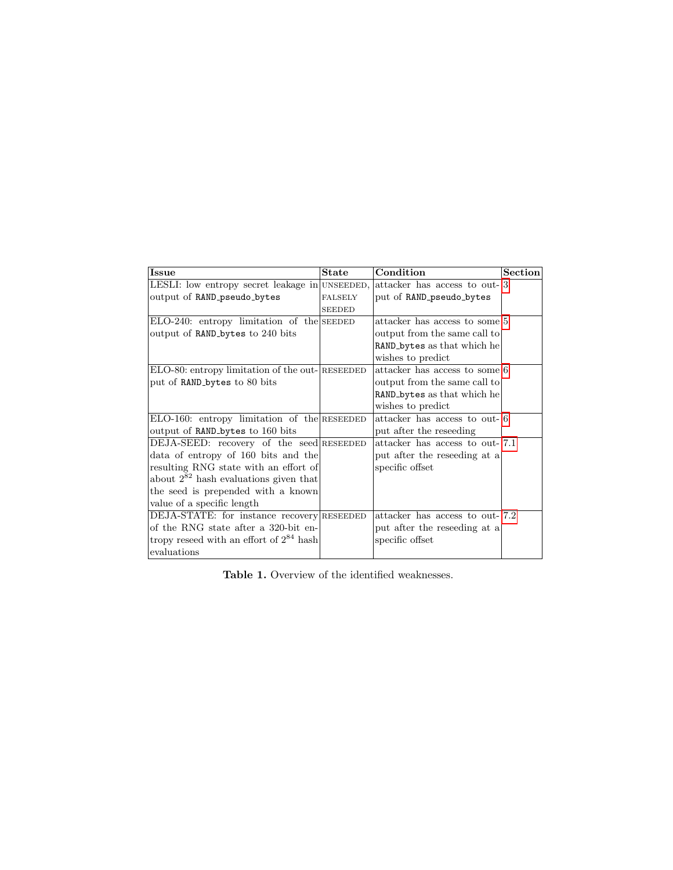| <b>Issue</b>                                   | <b>State</b>   | Condition                                              | <b>Section</b> |
|------------------------------------------------|----------------|--------------------------------------------------------|----------------|
| LESLI: low entropy secret leakage in UNSEEDED, |                | attacker has access to out-13                          |                |
| output of RAND_pseudo_bytes                    | <b>FALSELY</b> | put of RAND_pseudo_bytes                               |                |
|                                                | <b>SEEDED</b>  |                                                        |                |
| $ELO-240$ : entropy limitation of the SEEDED   |                | attacker has access to some 5                          |                |
| output of RAND_bytes to 240 bits               |                | output from the same call to                           |                |
|                                                |                | RAND_bytes as that which he                            |                |
|                                                |                | wishes to predict                                      |                |
| ELO-80: entropy limitation of the out-RESEEDED |                | attacker has access to some 6                          |                |
| put of RAND_bytes to 80 bits                   |                | output from the same call to                           |                |
|                                                |                | RAND_bytes as that which he                            |                |
|                                                |                | wishes to predict                                      |                |
| $ELO-160$ : entropy limitation of the RESEEDED |                | attacker has access to out-16                          |                |
| output of RAND_bytes to 160 bits               |                | put after the reseeding                                |                |
| $DEJA-SEED:$ recovery of the seed RESEEDED     |                | attacker has access to out-17.1                        |                |
| data of entropy of 160 bits and the            |                | put after the reseeding at a                           |                |
| resulting RNG state with an effort of          |                | specific offset                                        |                |
| about $2^{82}$ hash evaluations given that     |                |                                                        |                |
| the seed is prepended with a known             |                |                                                        |                |
| value of a specific length                     |                |                                                        |                |
| DEJA-STATE: for instance recovery RESEEDED     |                | $\overline{\text{attacker}}$ has access to out- $ 7.2$ |                |
| of the RNG state after a 320-bit en-           |                | put after the reseeding at a                           |                |
| tropy reseed with an effort of $2^{84}$ hash   |                | specific offset                                        |                |
| evaluations                                    |                |                                                        |                |

<span id="page-5-0"></span>Table 1. Overview of the identified weaknesses.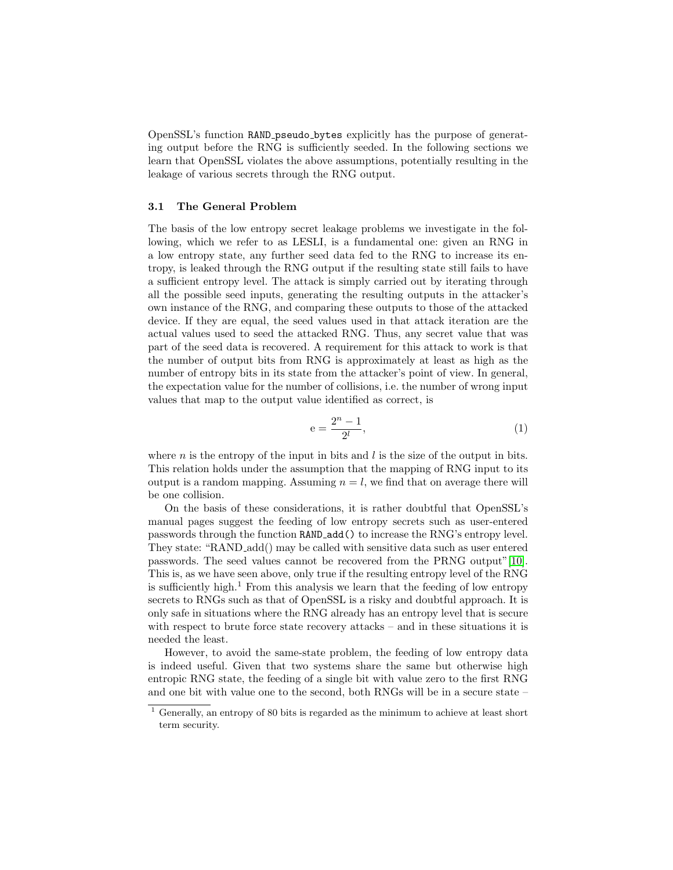OpenSSL's function RAND pseudo bytes explicitly has the purpose of generating output before the RNG is sufficiently seeded. In the following sections we learn that OpenSSL violates the above assumptions, potentially resulting in the leakage of various secrets through the RNG output.

## 3.1 The General Problem

The basis of the low entropy secret leakage problems we investigate in the following, which we refer to as LESLI, is a fundamental one: given an RNG in a low entropy state, any further seed data fed to the RNG to increase its entropy, is leaked through the RNG output if the resulting state still fails to have a sufficient entropy level. The attack is simply carried out by iterating through all the possible seed inputs, generating the resulting outputs in the attacker's own instance of the RNG, and comparing these outputs to those of the attacked device. If they are equal, the seed values used in that attack iteration are the actual values used to seed the attacked RNG. Thus, any secret value that was part of the seed data is recovered. A requirement for this attack to work is that the number of output bits from RNG is approximately at least as high as the number of entropy bits in its state from the attacker's point of view. In general, the expectation value for the number of collisions, i.e. the number of wrong input values that map to the output value identified as correct, is

<span id="page-6-0"></span>
$$
e = \frac{2^n - 1}{2^l},
$$
\n(1)

where n is the entropy of the input in bits and  $l$  is the size of the output in bits. This relation holds under the assumption that the mapping of RNG input to its output is a random mapping. Assuming  $n = l$ , we find that on average there will be one collision.

On the basis of these considerations, it is rather doubtful that OpenSSL's manual pages suggest the feeding of low entropy secrets such as user-entered passwords through the function RAND add() to increase the RNG's entropy level. They state: "RAND add() may be called with sensitive data such as user entered passwords. The seed values cannot be recovered from the PRNG output"[\[10\]](#page-24-9). This is, as we have seen above, only true if the resulting entropy level of the RNG is sufficiently high.<sup>1</sup> From this analysis we learn that the feeding of low entropy secrets to RNGs such as that of OpenSSL is a risky and doubtful approach. It is only safe in situations where the RNG already has an entropy level that is secure with respect to brute force state recovery attacks – and in these situations it is needed the least.

However, to avoid the same-state problem, the feeding of low entropy data is indeed useful. Given that two systems share the same but otherwise high entropic RNG state, the feeding of a single bit with value zero to the first RNG and one bit with value one to the second, both RNGs will be in a secure state –

 $1$  Generally, an entropy of 80 bits is regarded as the minimum to achieve at least short term security.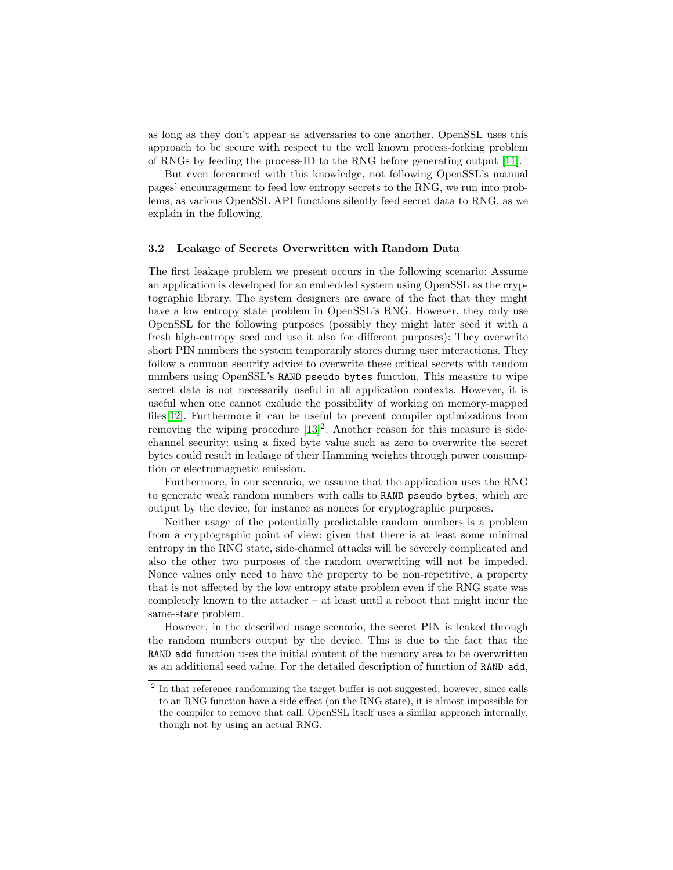as long as they don't appear as adversaries to one another. OpenSSL uses this approach to be secure with respect to the well known process-forking problem of RNGs by feeding the process-ID to the RNG before generating output [\[11\]](#page-24-10).

But even forearmed with this knowledge, not following OpenSSL's manual pages' encouragement to feed low entropy secrets to the RNG, we run into problems, as various OpenSSL API functions silently feed secret data to RNG, as we explain in the following.

#### 3.2 Leakage of Secrets Overwritten with Random Data

The first leakage problem we present occurs in the following scenario: Assume an application is developed for an embedded system using OpenSSL as the cryptographic library. The system designers are aware of the fact that they might have a low entropy state problem in OpenSSL's RNG. However, they only use OpenSSL for the following purposes (possibly they might later seed it with a fresh high-entropy seed and use it also for different purposes): They overwrite short PIN numbers the system temporarily stores during user interactions. They follow a common security advice to overwrite these critical secrets with random numbers using OpenSSL's RAND pseudo bytes function. This measure to wipe secret data is not necessarily useful in all application contexts. However, it is useful when one cannot exclude the possibility of working on memory-mapped files[\[12\]](#page-24-11). Furthermore it can be useful to prevent compiler optimizations from removing the wiping procedure  $[13]^2$  $[13]^2$ . Another reason for this measure is sidechannel security: using a fixed byte value such as zero to overwrite the secret bytes could result in leakage of their Hamming weights through power consumption or electromagnetic emission.

Furthermore, in our scenario, we assume that the application uses the RNG to generate weak random numbers with calls to RAND pseudo bytes, which are output by the device, for instance as nonces for cryptographic purposes.

Neither usage of the potentially predictable random numbers is a problem from a cryptographic point of view: given that there is at least some minimal entropy in the RNG state, side-channel attacks will be severely complicated and also the other two purposes of the random overwriting will not be impeded. Nonce values only need to have the property to be non-repetitive, a property that is not affected by the low entropy state problem even if the RNG state was completely known to the attacker – at least until a reboot that might incur the same-state problem.

However, in the described usage scenario, the secret PIN is leaked through the random numbers output by the device. This is due to the fact that the RAND add function uses the initial content of the memory area to be overwritten as an additional seed value. For the detailed description of function of RAND add,

<sup>&</sup>lt;sup>2</sup> In that reference randomizing the target buffer is not suggested, however, since calls to an RNG function have a side effect (on the RNG state), it is almost impossible for the compiler to remove that call. OpenSSL itself uses a similar approach internally, though not by using an actual RNG.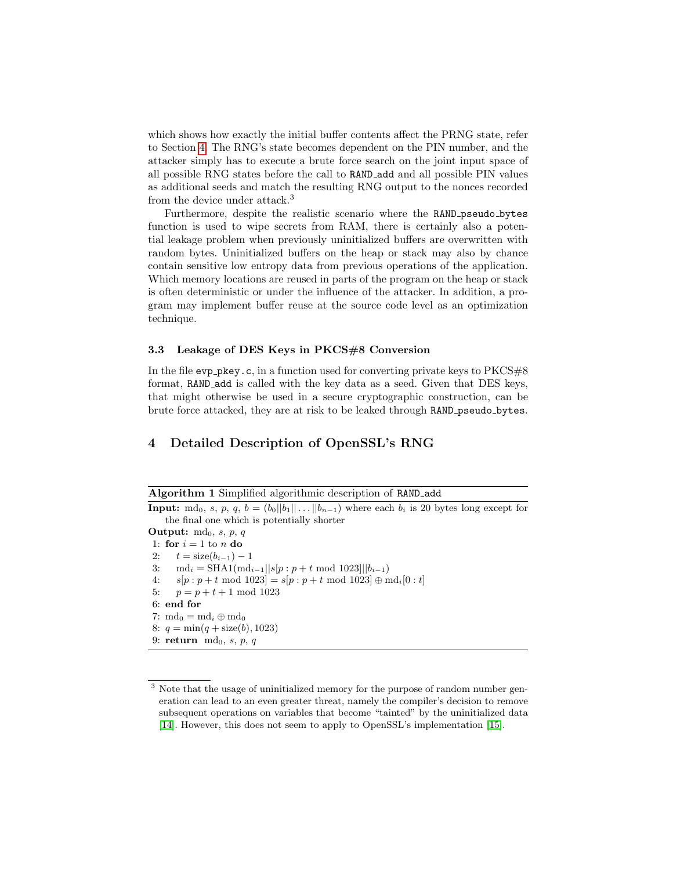which shows how exactly the initial buffer contents affect the PRNG state, refer to Section [4.](#page-8-0) The RNG's state becomes dependent on the PIN number, and the attacker simply has to execute a brute force search on the joint input space of all possible RNG states before the call to RAND add and all possible PIN values as additional seeds and match the resulting RNG output to the nonces recorded from the device under attack.<sup>3</sup>

Furthermore, despite the realistic scenario where the RAND pseudo bytes function is used to wipe secrets from RAM, there is certainly also a potential leakage problem when previously uninitialized buffers are overwritten with random bytes. Uninitialized buffers on the heap or stack may also by chance contain sensitive low entropy data from previous operations of the application. Which memory locations are reused in parts of the program on the heap or stack is often deterministic or under the influence of the attacker. In addition, a program may implement buffer reuse at the source code level as an optimization technique.

### 3.3 Leakage of DES Keys in PKCS#8 Conversion

In the file  $evp_p \text{key.c}$ , in a function used for converting private keys to  $PKCS#8$ format, RAND add is called with the key data as a seed. Given that DES keys, that might otherwise be used in a secure cryptographic construction, can be brute force attacked, they are at risk to be leaked through RAND pseudo bytes.

## <span id="page-8-0"></span>4 Detailed Description of OpenSSL's RNG

<span id="page-8-1"></span>Algorithm 1 Simplified algorithmic description of RAND add

**Input:** md<sub>0</sub>, s, p, q, b =  $(b_0||b_1|| \dots ||b_{n-1})$  where each  $b_i$  is 20 bytes long except for the final one which is potentially shorter

<span id="page-8-4"></span><span id="page-8-3"></span><span id="page-8-2"></span>Output:  $\text{md}_0$ , s, p, q 1: for  $i = 1$  to n do 2:  $t = size(b_{i-1}) - 1$ 3: md<sub>i</sub> = SHA1(md<sub>i-1</sub>||s[p : p + t mod 1023]|| $b_{i-1}$ ) 4:  $s[p : p + t \mod 1023] = s[p : p + t \mod 1023] \oplus \text{md}_i[0 : t]$ 5:  $p = p + t + 1 \mod 1023$ 6: end for 7:  $\text{md}_0 = \text{md}_i \oplus \text{md}_0$ 8:  $q = \min(q + \text{size}(b), 1023)$ 9: return  $\text{md}_0, s, p, q$ 

 $3$  Note that the usage of uninitialized memory for the purpose of random number generation can lead to an even greater threat, namely the compiler's decision to remove subsequent operations on variables that become "tainted" by the uninitialized data [\[14\]](#page-24-13). However, this does not seem to apply to OpenSSL's implementation [\[15\]](#page-24-14).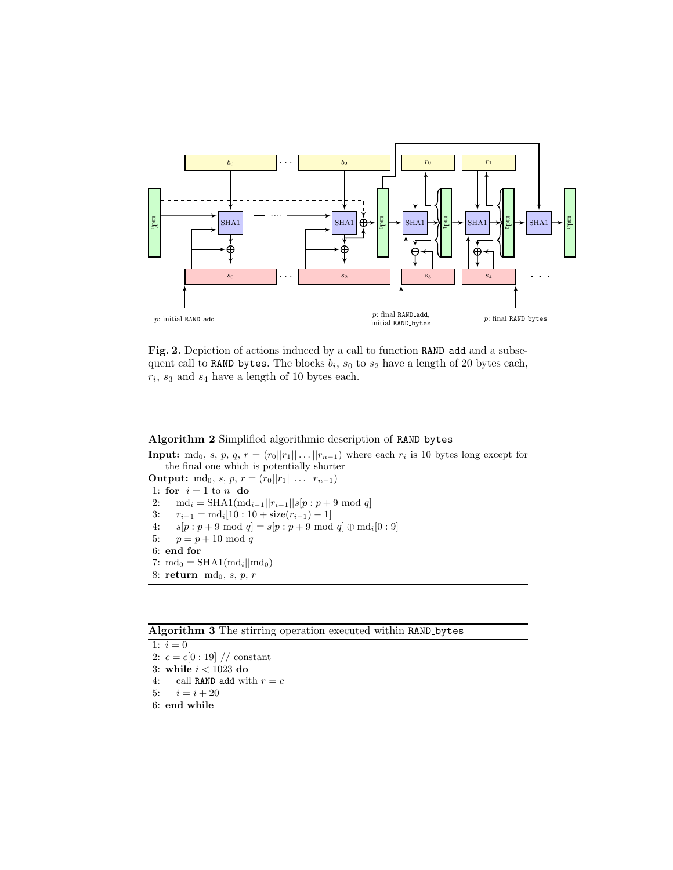

<span id="page-9-2"></span>Fig. 2. Depiction of actions induced by a call to function RAND add and a subsequent call to RAND bytes. The blocks  $b_i$ ,  $s_0$  to  $s_2$  have a length of 20 bytes each,  $r_i$ ,  $s_3$  and  $s_4$  have a length of 10 bytes each.

## <span id="page-9-0"></span>Algorithm 2 Simplified algorithmic description of RAND bytes

**Input:** md<sub>0</sub>, s, p, q,  $r = (r_0||r_1|| \dots ||r_{n-1})$  where each  $r_i$  is 10 bytes long except for the final one which is potentially shorter

<span id="page-9-4"></span><span id="page-9-3"></span>Output: md<sub>0</sub>, s, p,  $r = (r_0||r_1|| \dots ||r_{n-1})$ 1: for  $i = 1$  to n do 2: md<sub>i</sub> = SHA1(md<sub>i-1</sub>|| $r_{i-1}$ ||s[p : p + 9 mod q] 3:  $r_{i-1} = md_i[10:10 + size(r_{i-1}) - 1]$ 4:  $s[p : p+9 \mod q] = s[p : p+9 \mod q] \oplus \text{md}_i[0 : 9]$ 5:  $p = p + 10 \mod q$ 6: end for 7:  $md_0 = SHA1(md_i||md_0)$ 8: return  $md_0$ , s, p, r

## <span id="page-9-1"></span>Algorithm 3 The stirring operation executed within RAND bytes

1:  $i = 0$ 2:  $c = c[0:19]$  // constant 3: while  $i < 1023~\mathrm{do}$ 4: call RAND\_add with  $r = c$ 5:  $i = i + 20$ 6: end while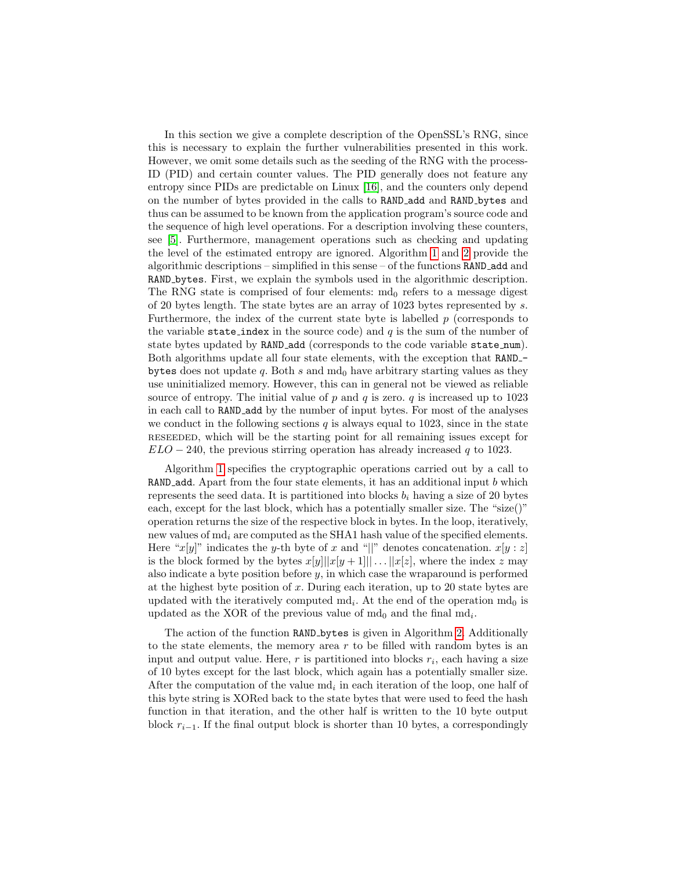In this section we give a complete description of the OpenSSL's RNG, since this is necessary to explain the further vulnerabilities presented in this work. However, we omit some details such as the seeding of the RNG with the process-ID (PID) and certain counter values. The PID generally does not feature any entropy since PIDs are predictable on Linux [\[16\]](#page-24-15), and the counters only depend on the number of bytes provided in the calls to RAND add and RAND bytes and thus can be assumed to be known from the application program's source code and the sequence of high level operations. For a description involving these counters, see [\[5\]](#page-24-4). Furthermore, management operations such as checking and updating the level of the estimated entropy are ignored. Algorithm [1](#page-8-1) and [2](#page-9-0) provide the algorithmic descriptions – simplified in this sense – of the functions RAND add and RAND bytes. First, we explain the symbols used in the algorithmic description. The RNG state is comprised of four elements:  $md_0$  refers to a message digest of 20 bytes length. The state bytes are an array of 1023 bytes represented by s. Furthermore, the index of the current state byte is labelled  $p$  (corresponds to the variable state index in the source code) and  $q$  is the sum of the number of state bytes updated by RAND add (corresponds to the code variable state num). Both algorithms update all four state elements, with the exception that RAND bytes does not update  $q$ . Both s and  $\text{md}_0$  have arbitrary starting values as they use uninitialized memory. However, this can in general not be viewed as reliable source of entropy. The initial value of  $p$  and  $q$  is zero.  $q$  is increased up to 1023 in each call to RAND add by the number of input bytes. For most of the analyses we conduct in the following sections  $q$  is always equal to 1023, since in the state reseeded, which will be the starting point for all remaining issues except for  $ELO - 240$ , the previous stirring operation has already increased q to 1023.

Algorithm [1](#page-8-1) specifies the cryptographic operations carried out by a call to RAND add. Apart from the four state elements, it has an additional input b which represents the seed data. It is partitioned into blocks  $b_i$  having a size of 20 bytes each, except for the last block, which has a potentially smaller size. The "size()" operation returns the size of the respective block in bytes. In the loop, iteratively, new values of  $md_i$  are computed as the SHA1 hash value of the specified elements. Here "x[y]" indicates the y-th byte of x and "||" denotes concatenation.  $x[y : z]$ is the block formed by the bytes  $x[y] ||x[y + 1] || \dots ||x[z]$ , where the index z may also indicate a byte position before  $y$ , in which case the wraparound is performed at the highest byte position of x. During each iteration, up to 20 state bytes are updated with the iteratively computed  $m d_i$ . At the end of the operation  $m d_0$  is updated as the XOR of the previous value of  $md_0$  and the final  $md_i$ .

The action of the function RAND bytes is given in Algorithm [2.](#page-9-0) Additionally to the state elements, the memory area  $r$  to be filled with random bytes is an input and output value. Here,  $r$  is partitioned into blocks  $r_i$ , each having a size of 10 bytes except for the last block, which again has a potentially smaller size. After the computation of the value  $m d_i$  in each iteration of the loop, one half of this byte string is XORed back to the state bytes that were used to feed the hash function in that iteration, and the other half is written to the 10 byte output block  $r_{i-1}$ . If the final output block is shorter than 10 bytes, a correspondingly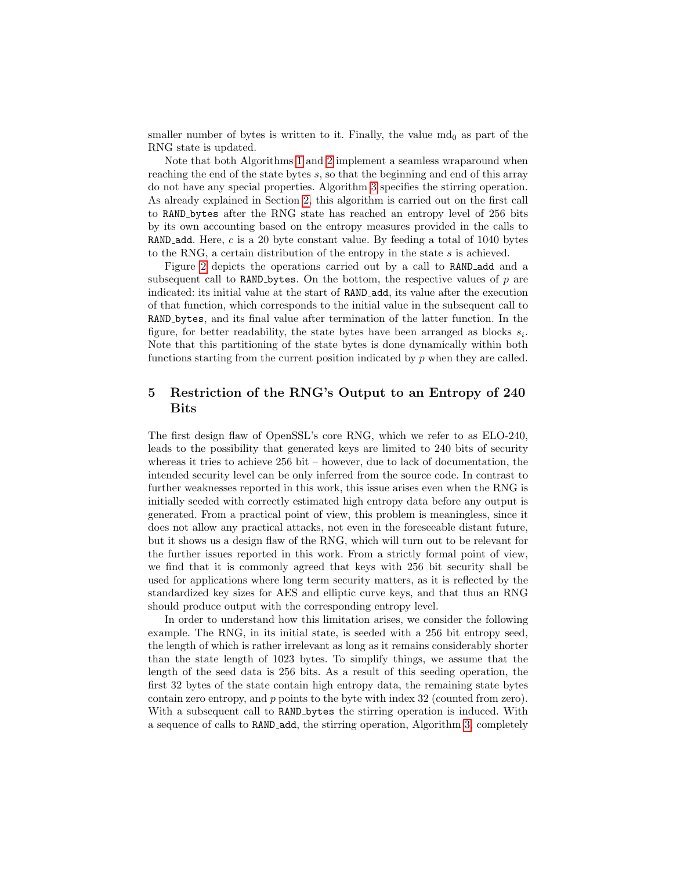smaller number of bytes is written to it. Finally, the value  $md_0$  as part of the RNG state is updated.

Note that both Algorithms [1](#page-8-1) and [2](#page-9-0) implement a seamless wraparound when reaching the end of the state bytes s, so that the beginning and end of this array do not have any special properties. Algorithm [3](#page-9-1) specifies the stirring operation. As already explained in Section [2,](#page-2-0) this algorithm is carried out on the first call to RAND bytes after the RNG state has reached an entropy level of 256 bits by its own accounting based on the entropy measures provided in the calls to RAND add. Here,  $c$  is a 20 byte constant value. By feeding a total of 1040 bytes to the RNG, a certain distribution of the entropy in the state  $s$  is achieved.

Figure [2](#page-9-2) depicts the operations carried out by a call to RAND add and a subsequent call to RAND bytes. On the bottom, the respective values of  $p$  are indicated: its initial value at the start of RAND add, its value after the execution of that function, which corresponds to the initial value in the subsequent call to RAND bytes, and its final value after termination of the latter function. In the figure, for better readability, the state bytes have been arranged as blocks  $s_i$ . Note that this partitioning of the state bytes is done dynamically within both functions starting from the current position indicated by  $p$  when they are called.

# <span id="page-11-0"></span>5 Restriction of the RNG's Output to an Entropy of 240 Bits

The first design flaw of OpenSSL's core RNG, which we refer to as ELO-240, leads to the possibility that generated keys are limited to 240 bits of security whereas it tries to achieve 256 bit – however, due to lack of documentation, the intended security level can be only inferred from the source code. In contrast to further weaknesses reported in this work, this issue arises even when the RNG is initially seeded with correctly estimated high entropy data before any output is generated. From a practical point of view, this problem is meaningless, since it does not allow any practical attacks, not even in the foreseeable distant future, but it shows us a design flaw of the RNG, which will turn out to be relevant for the further issues reported in this work. From a strictly formal point of view, we find that it is commonly agreed that keys with 256 bit security shall be used for applications where long term security matters, as it is reflected by the standardized key sizes for AES and elliptic curve keys, and that thus an RNG should produce output with the corresponding entropy level.

In order to understand how this limitation arises, we consider the following example. The RNG, in its initial state, is seeded with a 256 bit entropy seed, the length of which is rather irrelevant as long as it remains considerably shorter than the state length of 1023 bytes. To simplify things, we assume that the length of the seed data is 256 bits. As a result of this seeding operation, the first 32 bytes of the state contain high entropy data, the remaining state bytes contain zero entropy, and p points to the byte with index 32 (counted from zero). With a subsequent call to RAND bytes the stirring operation is induced. With a sequence of calls to RAND add, the stirring operation, Algorithm [3,](#page-9-1) completely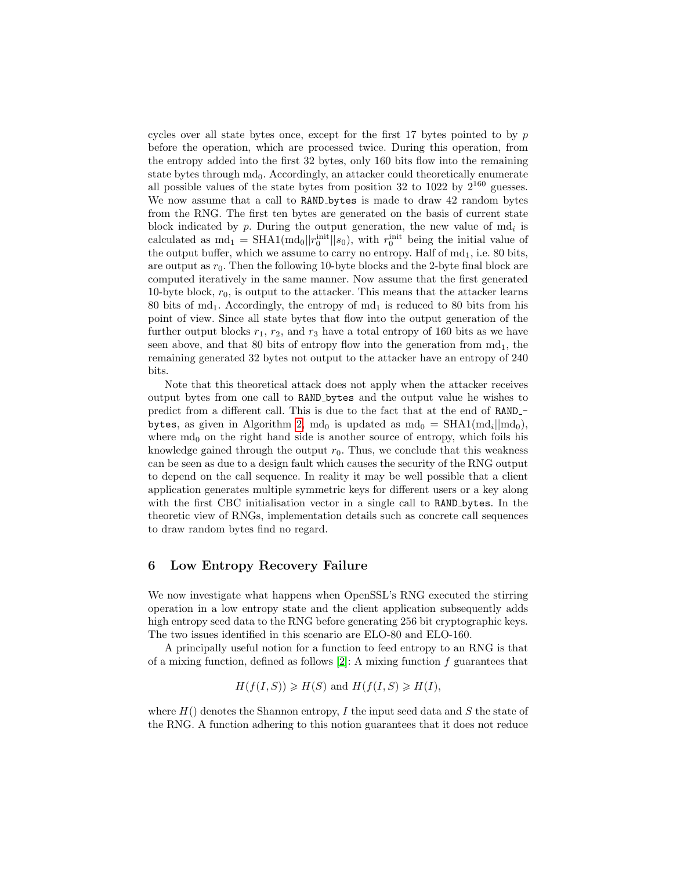cycles over all state bytes once, except for the first 17 bytes pointed to by  $p$ before the operation, which are processed twice. During this operation, from the entropy added into the first 32 bytes, only 160 bits flow into the remaining state bytes through  $md_0$ . Accordingly, an attacker could theoretically enumerate all possible values of the state bytes from position 32 to 1022 by  $2^{160}$  guesses. We now assume that a call to RAND bytes is made to draw 42 random bytes from the RNG. The first ten bytes are generated on the basis of current state block indicated by  $p$ . During the output generation, the new value of  $m d_i$  is calculated as  $md_1 = SHA1(md_0||r_0^{\text{init}}||s_0)$ , with  $r_0^{\text{init}}$  being the initial value of the output buffer, which we assume to carry no entropy. Half of  $md<sub>1</sub>$ , i.e. 80 bits, are output as  $r_0$ . Then the following 10-byte blocks and the 2-byte final block are computed iteratively in the same manner. Now assume that the first generated 10-byte block,  $r_0$ , is output to the attacker. This means that the attacker learns 80 bits of md<sub>1</sub>. Accordingly, the entropy of  $md_1$  is reduced to 80 bits from his point of view. Since all state bytes that flow into the output generation of the further output blocks  $r_1$ ,  $r_2$ , and  $r_3$  have a total entropy of 160 bits as we have seen above, and that 80 bits of entropy flow into the generation from  $md_1$ , the remaining generated 32 bytes not output to the attacker have an entropy of 240 bits.

Note that this theoretical attack does not apply when the attacker receives output bytes from one call to RAND bytes and the output value he wishes to predict from a different call. This is due to the fact that at the end of RAND - bytes, as given in Algorithm [2,](#page-9-0)  $\text{md}_0$  is updated as  $\text{md}_0 = \text{SHA1}(\text{md}_i || \text{md}_0),$ where  $md_0$  on the right hand side is another source of entropy, which foils his knowledge gained through the output  $r_0$ . Thus, we conclude that this weakness can be seen as due to a design fault which causes the security of the RNG output to depend on the call sequence. In reality it may be well possible that a client application generates multiple symmetric keys for different users or a key along with the first CBC initialisation vector in a single call to RAND bytes. In the theoretic view of RNGs, implementation details such as concrete call sequences to draw random bytes find no regard.

## <span id="page-12-0"></span>6 Low Entropy Recovery Failure

We now investigate what happens when OpenSSL's RNG executed the stirring operation in a low entropy state and the client application subsequently adds high entropy seed data to the RNG before generating 256 bit cryptographic keys. The two issues identified in this scenario are ELO-80 and ELO-160.

A principally useful notion for a function to feed entropy to an RNG is that of a mixing function, defined as follows  $[2]$ : A mixing function f guarantees that

$$
H(f(I, S)) \ge H(S) \text{ and } H(f(I, S) \ge H(I),
$$

where  $H()$  denotes the Shannon entropy, I the input seed data and S the state of the RNG. A function adhering to this notion guarantees that it does not reduce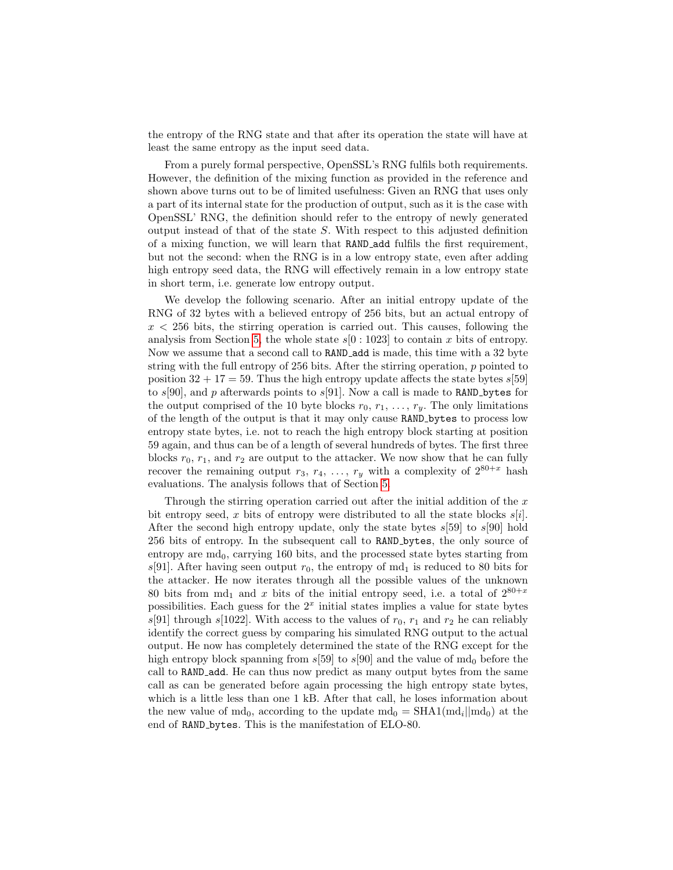the entropy of the RNG state and that after its operation the state will have at least the same entropy as the input seed data.

From a purely formal perspective, OpenSSL's RNG fulfils both requirements. However, the definition of the mixing function as provided in the reference and shown above turns out to be of limited usefulness: Given an RNG that uses only a part of its internal state for the production of output, such as it is the case with OpenSSL' RNG, the definition should refer to the entropy of newly generated output instead of that of the state S. With respect to this adjusted definition of a mixing function, we will learn that RAND add fulfils the first requirement, but not the second: when the RNG is in a low entropy state, even after adding high entropy seed data, the RNG will effectively remain in a low entropy state in short term, i.e. generate low entropy output.

We develop the following scenario. After an initial entropy update of the RNG of 32 bytes with a believed entropy of 256 bits, but an actual entropy of  $x < 256$  bits, the stirring operation is carried out. This causes, following the analysis from Section [5,](#page-11-0) the whole state  $s[0:1023]$  to contain x bits of entropy. Now we assume that a second call to RAND add is made, this time with a 32 byte string with the full entropy of 256 bits. After the stirring operation, p pointed to position  $32 + 17 = 59$ . Thus the high entropy update affects the state bytes  $s[59]$ to  $s[90]$ , and p afterwards points to  $s[91]$ . Now a call is made to RAND bytes for the output comprised of the 10 byte blocks  $r_0, r_1, \ldots, r_u$ . The only limitations of the length of the output is that it may only cause RAND bytes to process low entropy state bytes, i.e. not to reach the high entropy block starting at position 59 again, and thus can be of a length of several hundreds of bytes. The first three blocks  $r_0$ ,  $r_1$ , and  $r_2$  are output to the attacker. We now show that he can fully recover the remaining output  $r_3, r_4, \ldots, r_y$  with a complexity of  $2^{80+x}$  hash evaluations. The analysis follows that of Section [5.](#page-11-0)

Through the stirring operation carried out after the initial addition of the  $x$ bit entropy seed, x bits of entropy were distributed to all the state blocks  $s[i]$ . After the second high entropy update, only the state bytes  $s[59]$  to  $s[90]$  hold 256 bits of entropy. In the subsequent call to RAND bytes, the only source of entropy are  $md_0$ , carrying 160 bits, and the processed state bytes starting from s[91]. After having seen output  $r_0$ , the entropy of md<sub>1</sub> is reduced to 80 bits for the attacker. He now iterates through all the possible values of the unknown 80 bits from md<sub>1</sub> and x bits of the initial entropy seed, i.e. a total of  $2^{80+x}$ possibilities. Each guess for the  $2<sup>x</sup>$  initial states implies a value for state bytes s[91] through s[1022]. With access to the values of  $r_0$ ,  $r_1$  and  $r_2$  he can reliably identify the correct guess by comparing his simulated RNG output to the actual output. He now has completely determined the state of the RNG except for the high entropy block spanning from  $s[59]$  to  $s[90]$  and the value of md<sub>0</sub> before the call to RAND add. He can thus now predict as many output bytes from the same call as can be generated before again processing the high entropy state bytes, which is a little less than one 1 kB. After that call, he loses information about the new value of  $md_0$ , according to the update  $md_0 = SHA1(md_i \mid md_0)$  at the end of RAND bytes. This is the manifestation of ELO-80.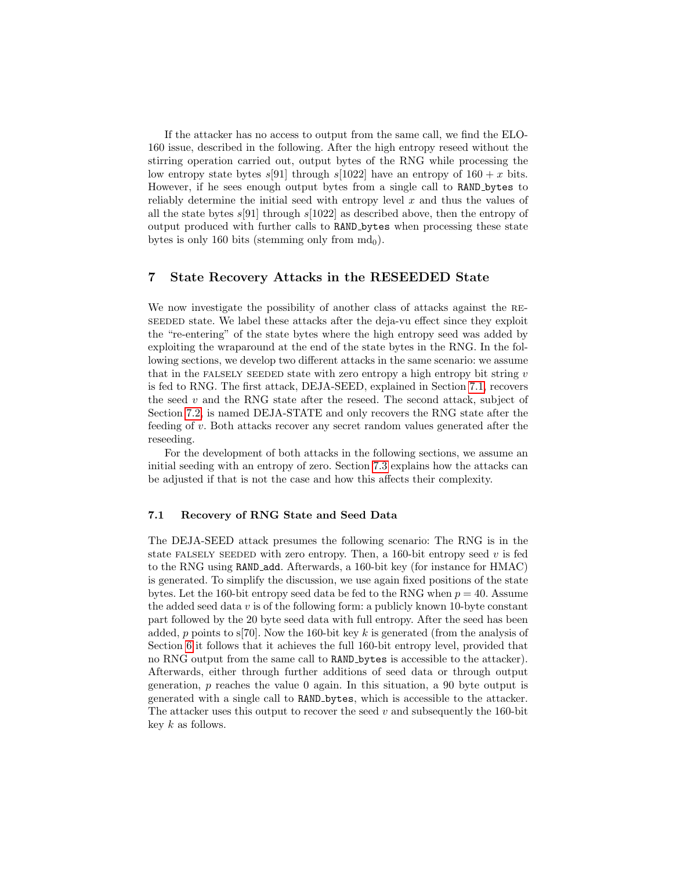If the attacker has no access to output from the same call, we find the ELO-160 issue, described in the following. After the high entropy reseed without the stirring operation carried out, output bytes of the RNG while processing the low entropy state bytes  $s[91]$  through  $s[1022]$  have an entropy of  $160 + x$  bits. However, if he sees enough output bytes from a single call to RAND bytes to reliably determine the initial seed with entropy level  $x$  and thus the values of all the state bytes  $s[91]$  through  $s[1022]$  as described above, then the entropy of output produced with further calls to RAND bytes when processing these state bytes is only 160 bits (stemming only from  $md_0$ ).

## 7 State Recovery Attacks in the RESEEDED State

We now investigate the possibility of another class of attacks against the reseeded state. We label these attacks after the deja-vu effect since they exploit the "re-entering" of the state bytes where the high entropy seed was added by exploiting the wraparound at the end of the state bytes in the RNG. In the following sections, we develop two different attacks in the same scenario: we assume that in the FALSELY SEEDED state with zero entropy a high entropy bit string  $v$ is fed to RNG. The first attack, DEJA-SEED, explained in Section [7.1,](#page-14-0) recovers the seed  $v$  and the RNG state after the reseed. The second attack, subject of Section [7.2,](#page-17-0) is named DEJA-STATE and only recovers the RNG state after the feeding of v. Both attacks recover any secret random values generated after the reseeding.

For the development of both attacks in the following sections, we assume an initial seeding with an entropy of zero. Section [7.3](#page-19-0) explains how the attacks can be adjusted if that is not the case and how this affects their complexity.

## <span id="page-14-0"></span>7.1 Recovery of RNG State and Seed Data

The DEJA-SEED attack presumes the following scenario: The RNG is in the state FALSELY SEEDED with zero entropy. Then, a 160-bit entropy seed  $v$  is fed to the RNG using RAND add. Afterwards, a 160-bit key (for instance for HMAC) is generated. To simplify the discussion, we use again fixed positions of the state bytes. Let the 160-bit entropy seed data be fed to the RNG when  $p = 40$ . Assume the added seed data  $v$  is of the following form: a publicly known 10-byte constant part followed by the 20 byte seed data with full entropy. After the seed has been added, p points to s[70]. Now the 160-bit key k is generated (from the analysis of Section [6](#page-12-0) it follows that it achieves the full 160-bit entropy level, provided that no RNG output from the same call to RAND bytes is accessible to the attacker). Afterwards, either through further additions of seed data or through output generation, p reaches the value 0 again. In this situation, a 90 byte output is generated with a single call to RAND bytes, which is accessible to the attacker. The attacker uses this output to recover the seed  $v$  and subsequently the 160-bit key  $k$  as follows.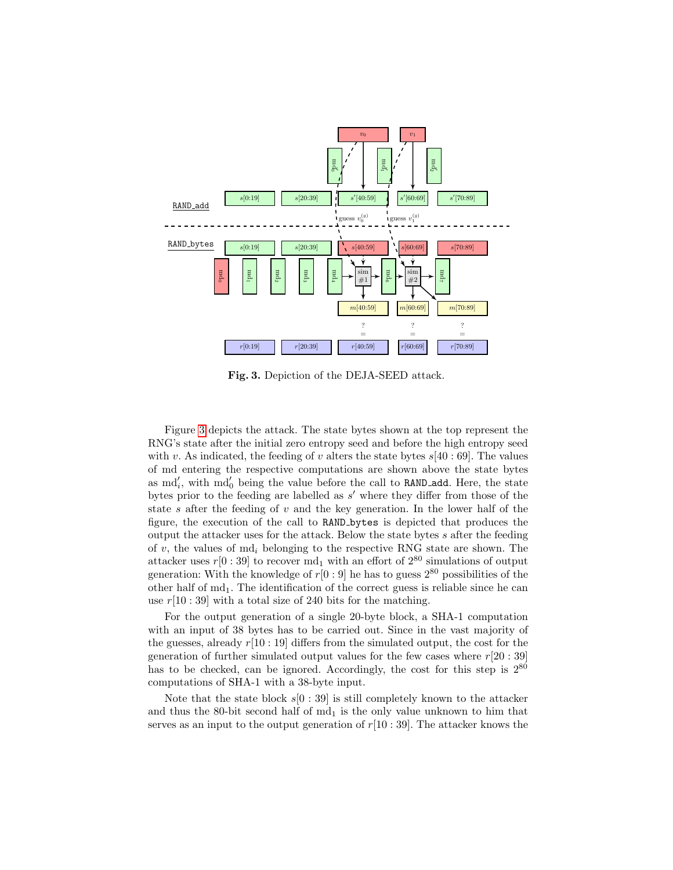

<span id="page-15-0"></span>Fig. 3. Depiction of the DEJA-SEED attack.

Figure [3](#page-15-0) depicts the attack. The state bytes shown at the top represent the RNG's state after the initial zero entropy seed and before the high entropy seed with v. As indicated, the feeding of v alters the state bytes  $s[40:69]$ . The values of md entering the respective computations are shown above the state bytes as  $\text{md}'_i$ , with  $\text{md}'_0$  being the value before the call to RAND add. Here, the state bytes prior to the feeding are labelled as  $s'$  where they differ from those of the state s after the feeding of  $v$  and the key generation. In the lower half of the figure, the execution of the call to RAND bytes is depicted that produces the output the attacker uses for the attack. Below the state bytes s after the feeding of v, the values of  $\text{md}_i$  belonging to the respective RNG state are shown. The attacker uses  $r[0:39]$  to recover  $md_1$  with an effort of  $2^{80}$  simulations of output generation: With the knowledge of  $r[0:9]$  he has to guess  $2^{80}$  possibilities of the other half of  $md_1$ . The identification of the correct guess is reliable since he can use  $r[10:39]$  with a total size of 240 bits for the matching.

For the output generation of a single 20-byte block, a SHA-1 computation with an input of 38 bytes has to be carried out. Since in the vast majority of the guesses, already  $r[10:19]$  differs from the simulated output, the cost for the generation of further simulated output values for the few cases where  $r[20:39]$ has to be checked, can be ignored. Accordingly, the cost for this step is  $2^{80}$ computations of SHA-1 with a 38-byte input.

Note that the state block  $s[0:39]$  is still completely known to the attacker and thus the 80-bit second half of  $md_1$  is the only value unknown to him that serves as an input to the output generation of  $r[10:39]$ . The attacker knows the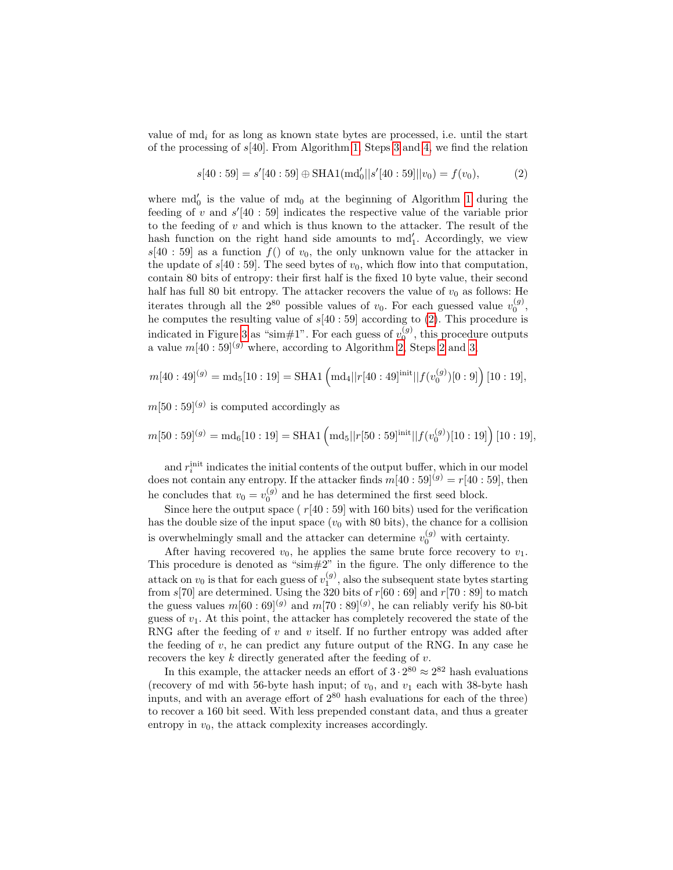value of  $\text{md}_i$  for as long as known state bytes are processed, i.e. until the start of the processing of  $s[40]$ . From Algorithm [1,](#page-8-1) Steps [3](#page-8-2) and [4,](#page-8-3) we find the relation

<span id="page-16-0"></span>
$$
s[40:59] = s'[40:59] \oplus \text{SHA1}(\text{md}'_0 || s'[40:59] || v_0) = f(v_0),\tag{2}
$$

where  $\text{md}_0'$  is the value of  $\text{md}_0$  at the beginning of Algorithm [1](#page-8-1) during the feeding of v and  $s'[40:59]$  indicates the respective value of the variable prior to the feeding of v and which is thus known to the attacker. The result of the hash function on the right hand side amounts to  $md'_1$ . Accordingly, we view  $s[40:59]$  as a function  $f()$  of  $v_0$ , the only unknown value for the attacker in the update of  $s[40:59]$ . The seed bytes of  $v_0$ , which flow into that computation, contain 80 bits of entropy: their first half is the fixed 10 byte value, their second half has full 80 bit entropy. The attacker recovers the value of  $v_0$  as follows: He iterates through all the  $2^{80}$  possible values of  $v_0$ . For each guessed value  $v_0^{(g)}$ , he computes the resulting value of  $s[40:59]$  according to [\(2\)](#page-16-0). This procedure is indicated in Figure [3](#page-15-0) as "sim#1". For each guess of  $v_0^{(g)}$ , this procedure outputs a value  $m[40:59]^{(g)}$  where, according to Algorithm [2,](#page-9-0) Steps [2](#page-9-3) and [3,](#page-9-4)

$$
m[40:49]^{(g)} = \text{md}_5[10:19] = \text{SHA1}\left(\text{md}_4||r[40:49]^{\text{init}}||f(v_0^{(g)})[0:9]\right)[10:19],
$$

 $m[50:59]^{(g)}$  is computed accordingly as

$$
m[50:59]^{(g)} = md_6[10:19] = SHA1 \left ( md_5 ||r[50:59]^{init} ||f(v_0^{(g)})[10:19] \right ) [10:19],
$$

and  $r_i^{\text{init}}$  indicates the initial contents of the output buffer, which in our model does not contain any entropy. If the attacker finds  $m[40:59]^{(g)} = r[40:59]$ , then he concludes that  $v_0 = v_0^{(g)}$  and he has determined the first seed block.

Since here the output space ( $r[40:59]$  with 160 bits) used for the verification has the double size of the input space  $(v_0 \text{ with } 80 \text{ bits})$ , the chance for a collision is overwhelmingly small and the attacker can determine  $v_0^{(g)}$  with certainty.

After having recovered  $v_0$ , he applies the same brute force recovery to  $v_1$ . This procedure is denoted as " $\sin\#2$ " in the figure. The only difference to the attack on  $v_0$  is that for each guess of  $v_1^{(g)}$ , also the subsequent state bytes starting from  $s[70]$  are determined. Using the 320 bits of  $r[60:69]$  and  $r[70:89]$  to match the guess values  $m[60:69]^{(g)}$  and  $m[70:89]^{(g)}$ , he can reliably verify his 80-bit guess of  $v_1$ . At this point, the attacker has completely recovered the state of the RNG after the feeding of v and v itself. If no further entropy was added after the feeding of  $v$ , he can predict any future output of the RNG. In any case he recovers the key  $k$  directly generated after the feeding of  $v$ .

In this example, the attacker needs an effort of  $3 \cdot 2^{80} \approx 2^{82}$  hash evaluations (recovery of md with 56-byte hash input; of  $v_0$ , and  $v_1$  each with 38-byte hash inputs, and with an average effort of  $2^{80}$  hash evaluations for each of the three) to recover a 160 bit seed. With less prepended constant data, and thus a greater entropy in  $v_0$ , the attack complexity increases accordingly.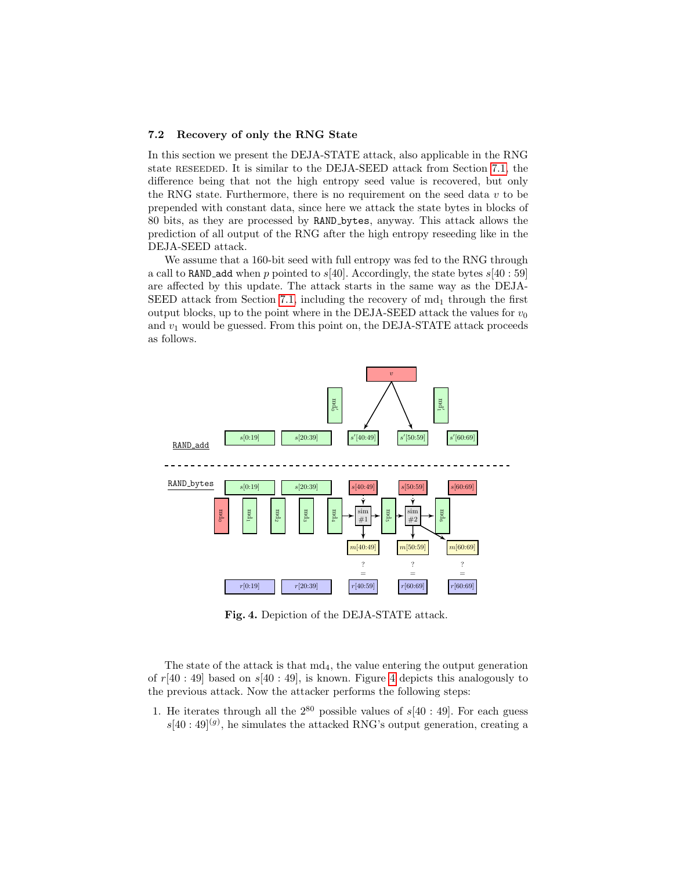#### <span id="page-17-0"></span>7.2 Recovery of only the RNG State

In this section we present the DEJA-STATE attack, also applicable in the RNG state RESEEDED. It is similar to the DEJA-SEED attack from Section [7.1,](#page-14-0) the difference being that not the high entropy seed value is recovered, but only the RNG state. Furthermore, there is no requirement on the seed data  $v$  to be prepended with constant data, since here we attack the state bytes in blocks of 80 bits, as they are processed by RAND bytes, anyway. This attack allows the prediction of all output of the RNG after the high entropy reseeding like in the DEJA-SEED attack.

We assume that a 160-bit seed with full entropy was fed to the RNG through a call to RAND add when p pointed to  $s[40]$ . Accordingly, the state bytes  $s[40:59]$ are affected by this update. The attack starts in the same way as the DEJA-SEED attack from Section [7.1,](#page-14-0) including the recovery of  $md_1$  through the first output blocks, up to the point where in the DEJA-SEED attack the values for  $v_0$ and  $v_1$  would be guessed. From this point on, the DEJA-STATE attack proceeds as follows.



<span id="page-17-1"></span>Fig. 4. Depiction of the DEJA-STATE attack.

The state of the attack is that  $md_4$ , the value entering the output generation of  $r[40:49]$  based on  $s[40:49]$ , is known. Figure [4](#page-17-1) depicts this analogously to the previous attack. Now the attacker performs the following steps:

1. He iterates through all the  $2^{80}$  possible values of  $s[40:49]$ . For each guess  $s[40:49]^{(g)}$ , he simulates the attacked RNG's output generation, creating a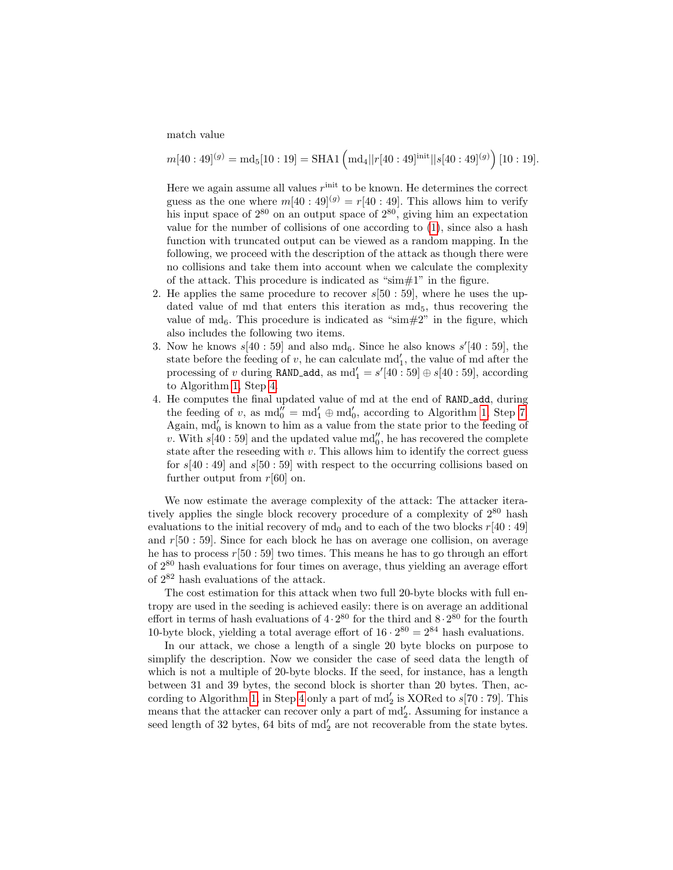match value

$$
m[40:49]^{(g)} = md_5[10:19] = SHA1 \left( md_4 ||r[40:49]^{\text{init}} ||s[40:49]^{(g)} \right) [10:19].
$$

Here we again assume all values  $r^{\text{init}}$  to be known. He determines the correct guess as the one where  $m[40:49]^{(g)} = r[40:49]$ . This allows him to verify his input space of  $2^{80}$  on an output space of  $2^{80}$ , giving him an expectation value for the number of collisions of one according to [\(1\)](#page-6-0), since also a hash function with truncated output can be viewed as a random mapping. In the following, we proceed with the description of the attack as though there were no collisions and take them into account when we calculate the complexity of the attack. This procedure is indicated as " $\sin\#1$ " in the figure.

- 2. He applies the same procedure to recover  $s[50:59]$ , where he uses the updated value of md that enters this iteration as  $md_5$ , thus recovering the value of  $\text{md}_6$ . This procedure is indicated as "sim#2" in the figure, which also includes the following two items.
- 3. Now he knows  $s[40:59]$  and also md<sub>6</sub>. Since he also knows  $s'[40:59]$ , the state before the feeding of v, he can calculate  $md_1$ , the value of md after the processing of v during **RAND\_add**, as  $md_1' = s'[40:59] \oplus s[40:59]$ , according to Algorithm [1,](#page-8-1) Step [4.](#page-8-3)
- 4. He computes the final updated value of md at the end of RAND add, during the feeding of v, as  $\text{md}_0'' = \text{md}_1' \oplus \text{md}_0'$ , according to Algorithm [1,](#page-8-1) Step [7.](#page-8-4) Again,  $\text{md}_0^l$  is known to him as a value from the state prior to the feeding of v. With  $s[40:59]$  and the updated value  $md''_0$ , he has recovered the complete state after the reseeding with  $v$ . This allows him to identify the correct guess for  $s[40:49]$  and  $s[50:59]$  with respect to the occurring collisions based on further output from  $r[60]$  on.

We now estimate the average complexity of the attack: The attacker iteratively applies the single block recovery procedure of a complexity of  $2^{80}$  hash evaluations to the initial recovery of  $md_0$  and to each of the two blocks  $r[40 : 49]$ and  $r[50:59]$ . Since for each block he has on average one collision, on average he has to process  $r[50:59]$  two times. This means he has to go through an effort of  $2^{80}$  hash evaluations for four times on average, thus yielding an average effort of  $2^{82}$  hash evaluations of the attack.

The cost estimation for this attack when two full 20-byte blocks with full entropy are used in the seeding is achieved easily: there is on average an additional effort in terms of hash evaluations of  $4 \cdot 2^{80}$  for the third and  $8 \cdot 2^{80}$  for the fourth 10-byte block, yielding a total average effort of  $16 \cdot 2^{80} = 2^{84}$  hash evaluations.

In our attack, we chose a length of a single 20 byte blocks on purpose to simplify the description. Now we consider the case of seed data the length of which is not a multiple of 20-byte blocks. If the seed, for instance, has a length between 31 and 39 bytes, the second block is shorter than 20 bytes. Then, ac-cording to Algorithm [1,](#page-8-1) in Step [4](#page-8-3) only a part of  $\text{md}'_2$  is XORed to  $s[70:79]$ . This means that the attacker can recover only a part of  $md'_{2}$ . Assuming for instance a seed length of 32 bytes, 64 bits of  $\text{md}'_2$  are not recoverable from the state bytes.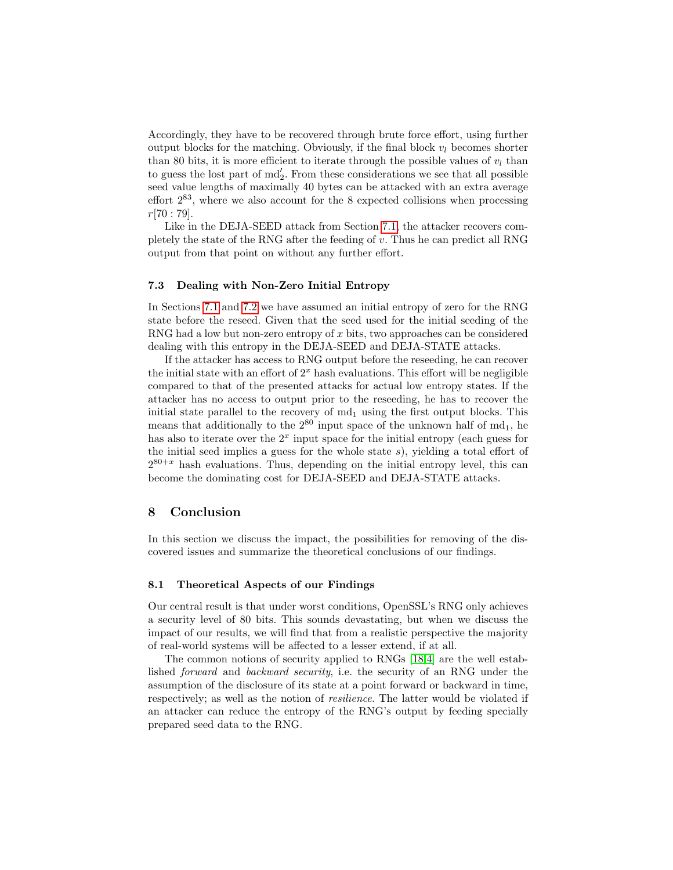Accordingly, they have to be recovered through brute force effort, using further output blocks for the matching. Obviously, if the final block  $v_l$  becomes shorter than 80 bits, it is more efficient to iterate through the possible values of  $v_l$  than to guess the lost part of  $md'_2$ . From these considerations we see that all possible seed value lengths of maximally 40 bytes can be attacked with an extra average effort  $2^{83}$ , where we also account for the 8 expected collisions when processing  $r[70:79]$ .

Like in the DEJA-SEED attack from Section [7.1,](#page-14-0) the attacker recovers completely the state of the RNG after the feeding of  $v$ . Thus he can predict all RNG output from that point on without any further effort.

## <span id="page-19-0"></span>7.3 Dealing with Non-Zero Initial Entropy

In Sections [7.1](#page-14-0) and [7.2](#page-17-0) we have assumed an initial entropy of zero for the RNG state before the reseed. Given that the seed used for the initial seeding of the RNG had a low but non-zero entropy of  $x$  bits, two approaches can be considered dealing with this entropy in the DEJA-SEED and DEJA-STATE attacks.

If the attacker has access to RNG output before the reseeding, he can recover the initial state with an effort of  $2<sup>x</sup>$  hash evaluations. This effort will be negligible compared to that of the presented attacks for actual low entropy states. If the attacker has no access to output prior to the reseeding, he has to recover the initial state parallel to the recovery of  $md_1$  using the first output blocks. This means that additionally to the  $2^{80}$  input space of the unknown half of md<sub>1</sub>, he has also to iterate over the  $2<sup>x</sup>$  input space for the initial entropy (each guess for the initial seed implies a guess for the whole state  $s$ ), yielding a total effort of  $2^{80+x}$  hash evaluations. Thus, depending on the initial entropy level, this can become the dominating cost for DEJA-SEED and DEJA-STATE attacks.

## 8 Conclusion

In this section we discuss the impact, the possibilities for removing of the discovered issues and summarize the theoretical conclusions of our findings.

#### 8.1 Theoretical Aspects of our Findings

Our central result is that under worst conditions, OpenSSL's RNG only achieves a security level of 80 bits. This sounds devastating, but when we discuss the impact of our results, we will find that from a realistic perspective the majority of real-world systems will be affected to a lesser extend, if at all.

The common notions of security applied to RNGs [\[18](#page-24-16)[,4\]](#page-24-3) are the well established forward and backward security, i.e. the security of an RNG under the assumption of the disclosure of its state at a point forward or backward in time, respectively; as well as the notion of resilience. The latter would be violated if an attacker can reduce the entropy of the RNG's output by feeding specially prepared seed data to the RNG.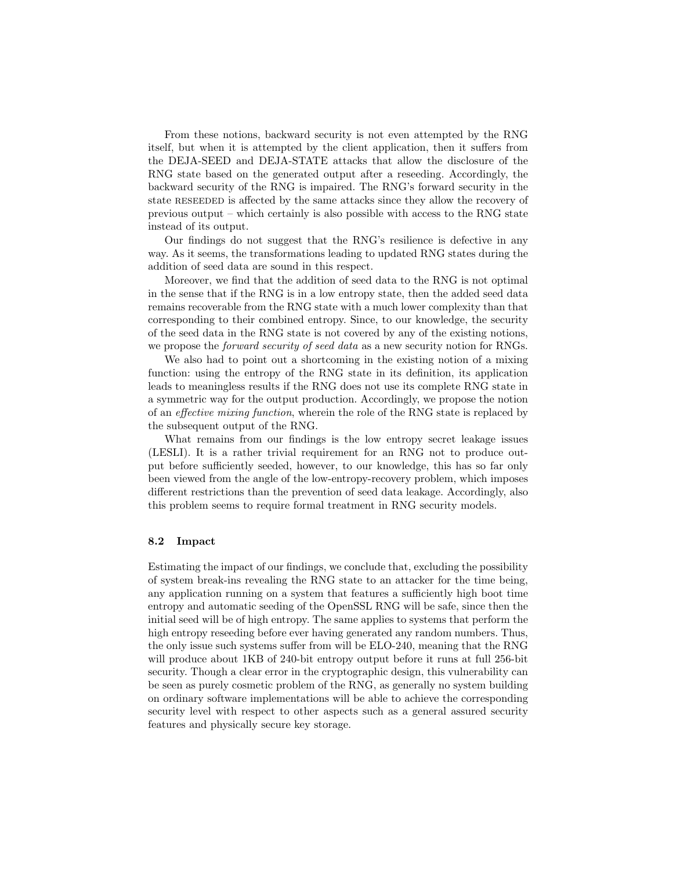From these notions, backward security is not even attempted by the RNG itself, but when it is attempted by the client application, then it suffers from the DEJA-SEED and DEJA-STATE attacks that allow the disclosure of the RNG state based on the generated output after a reseeding. Accordingly, the backward security of the RNG is impaired. The RNG's forward security in the state RESEEDED is affected by the same attacks since they allow the recovery of previous output – which certainly is also possible with access to the RNG state instead of its output.

Our findings do not suggest that the RNG's resilience is defective in any way. As it seems, the transformations leading to updated RNG states during the addition of seed data are sound in this respect.

Moreover, we find that the addition of seed data to the RNG is not optimal in the sense that if the RNG is in a low entropy state, then the added seed data remains recoverable from the RNG state with a much lower complexity than that corresponding to their combined entropy. Since, to our knowledge, the security of the seed data in the RNG state is not covered by any of the existing notions, we propose the *forward security of seed data* as a new security notion for RNGs.

We also had to point out a shortcoming in the existing notion of a mixing function: using the entropy of the RNG state in its definition, its application leads to meaningless results if the RNG does not use its complete RNG state in a symmetric way for the output production. Accordingly, we propose the notion of an effective mixing function, wherein the role of the RNG state is replaced by the subsequent output of the RNG.

What remains from our findings is the low entropy secret leakage issues (LESLI). It is a rather trivial requirement for an RNG not to produce output before sufficiently seeded, however, to our knowledge, this has so far only been viewed from the angle of the low-entropy-recovery problem, which imposes different restrictions than the prevention of seed data leakage. Accordingly, also this problem seems to require formal treatment in RNG security models.

## 8.2 Impact

Estimating the impact of our findings, we conclude that, excluding the possibility of system break-ins revealing the RNG state to an attacker for the time being, any application running on a system that features a sufficiently high boot time entropy and automatic seeding of the OpenSSL RNG will be safe, since then the initial seed will be of high entropy. The same applies to systems that perform the high entropy reseeding before ever having generated any random numbers. Thus, the only issue such systems suffer from will be ELO-240, meaning that the RNG will produce about 1KB of 240-bit entropy output before it runs at full 256-bit security. Though a clear error in the cryptographic design, this vulnerability can be seen as purely cosmetic problem of the RNG, as generally no system building on ordinary software implementations will be able to achieve the corresponding security level with respect to other aspects such as a general assured security features and physically secure key storage.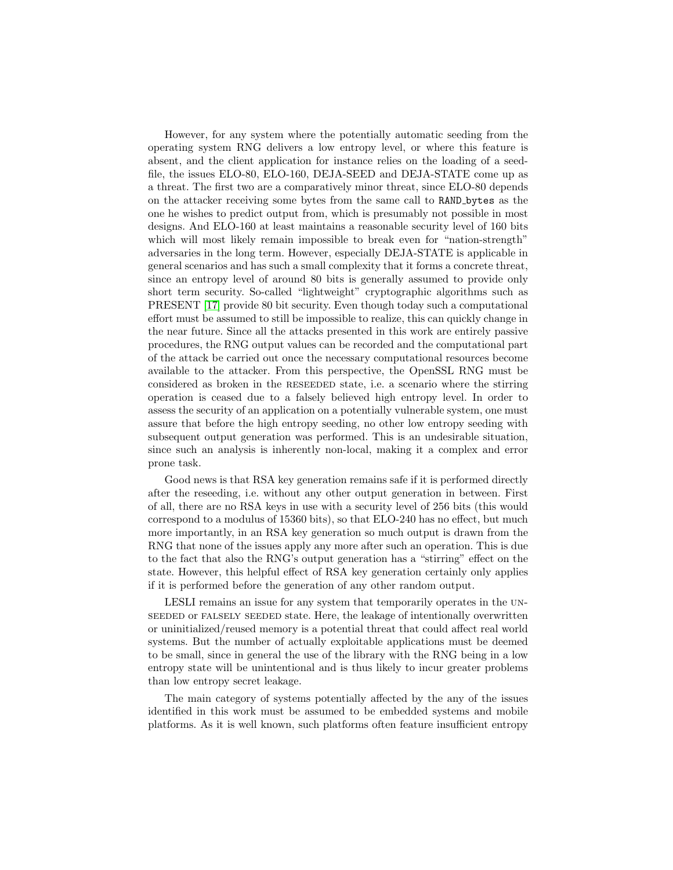However, for any system where the potentially automatic seeding from the operating system RNG delivers a low entropy level, or where this feature is absent, and the client application for instance relies on the loading of a seedfile, the issues ELO-80, ELO-160, DEJA-SEED and DEJA-STATE come up as a threat. The first two are a comparatively minor threat, since ELO-80 depends on the attacker receiving some bytes from the same call to RAND bytes as the one he wishes to predict output from, which is presumably not possible in most designs. And ELO-160 at least maintains a reasonable security level of 160 bits which will most likely remain impossible to break even for "nation-strength" adversaries in the long term. However, especially DEJA-STATE is applicable in general scenarios and has such a small complexity that it forms a concrete threat, since an entropy level of around 80 bits is generally assumed to provide only short term security. So-called "lightweight" cryptographic algorithms such as PRESENT [\[17\]](#page-24-17) provide 80 bit security. Even though today such a computational effort must be assumed to still be impossible to realize, this can quickly change in the near future. Since all the attacks presented in this work are entirely passive procedures, the RNG output values can be recorded and the computational part of the attack be carried out once the necessary computational resources become available to the attacker. From this perspective, the OpenSSL RNG must be considered as broken in the reseeded state, i.e. a scenario where the stirring operation is ceased due to a falsely believed high entropy level. In order to assess the security of an application on a potentially vulnerable system, one must assure that before the high entropy seeding, no other low entropy seeding with subsequent output generation was performed. This is an undesirable situation, since such an analysis is inherently non-local, making it a complex and error prone task.

Good news is that RSA key generation remains safe if it is performed directly after the reseeding, i.e. without any other output generation in between. First of all, there are no RSA keys in use with a security level of 256 bits (this would correspond to a modulus of 15360 bits), so that ELO-240 has no effect, but much more importantly, in an RSA key generation so much output is drawn from the RNG that none of the issues apply any more after such an operation. This is due to the fact that also the RNG's output generation has a "stirring" effect on the state. However, this helpful effect of RSA key generation certainly only applies if it is performed before the generation of any other random output.

LESLI remains an issue for any system that temporarily operates in the unseeded or falsely seeded state. Here, the leakage of intentionally overwritten or uninitialized/reused memory is a potential threat that could affect real world systems. But the number of actually exploitable applications must be deemed to be small, since in general the use of the library with the RNG being in a low entropy state will be unintentional and is thus likely to incur greater problems than low entropy secret leakage.

The main category of systems potentially affected by the any of the issues identified in this work must be assumed to be embedded systems and mobile platforms. As it is well known, such platforms often feature insufficient entropy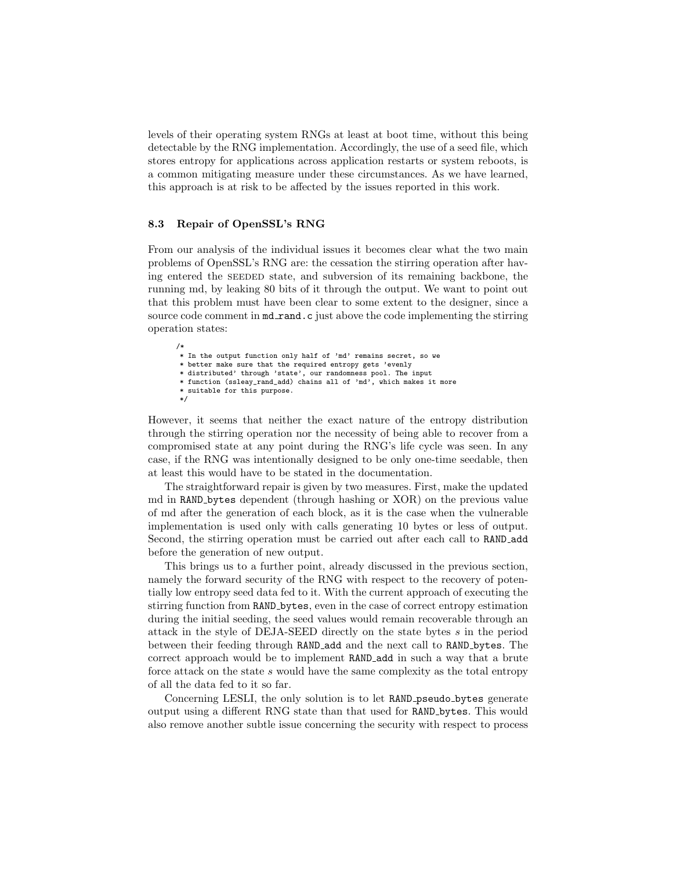levels of their operating system RNGs at least at boot time, without this being detectable by the RNG implementation. Accordingly, the use of a seed file, which stores entropy for applications across application restarts or system reboots, is a common mitigating measure under these circumstances. As we have learned, this approach is at risk to be affected by the issues reported in this work.

## 8.3 Repair of OpenSSL's RNG

From our analysis of the individual issues it becomes clear what the two main problems of OpenSSL's RNG are: the cessation the stirring operation after having entered the seeded state, and subversion of its remaining backbone, the running md, by leaking 80 bits of it through the output. We want to point out that this problem must have been clear to some extent to the designer, since a source code comment in  $md\_rand.c$  just above the code implementing the stirring operation states:

/\* \* In the output function only half of 'md' remains secret, so we \* better make sure that the required entropy gets 'evenly \* distributed' through 'state', our randomness pool. The input \* function (ssleay\_rand\_add) chains all of 'md', which makes it more \* suitable for this purpose. \*/

However, it seems that neither the exact nature of the entropy distribution through the stirring operation nor the necessity of being able to recover from a compromised state at any point during the RNG's life cycle was seen. In any case, if the RNG was intentionally designed to be only one-time seedable, then at least this would have to be stated in the documentation.

The straightforward repair is given by two measures. First, make the updated md in RAND bytes dependent (through hashing or XOR) on the previous value of md after the generation of each block, as it is the case when the vulnerable implementation is used only with calls generating 10 bytes or less of output. Second, the stirring operation must be carried out after each call to RAND add before the generation of new output.

This brings us to a further point, already discussed in the previous section, namely the forward security of the RNG with respect to the recovery of potentially low entropy seed data fed to it. With the current approach of executing the stirring function from RAND bytes, even in the case of correct entropy estimation during the initial seeding, the seed values would remain recoverable through an attack in the style of DEJA-SEED directly on the state bytes s in the period between their feeding through RAND add and the next call to RAND bytes. The correct approach would be to implement RAND add in such a way that a brute force attack on the state s would have the same complexity as the total entropy of all the data fed to it so far.

Concerning LESLI, the only solution is to let RAND pseudo bytes generate output using a different RNG state than that used for RAND bytes. This would also remove another subtle issue concerning the security with respect to process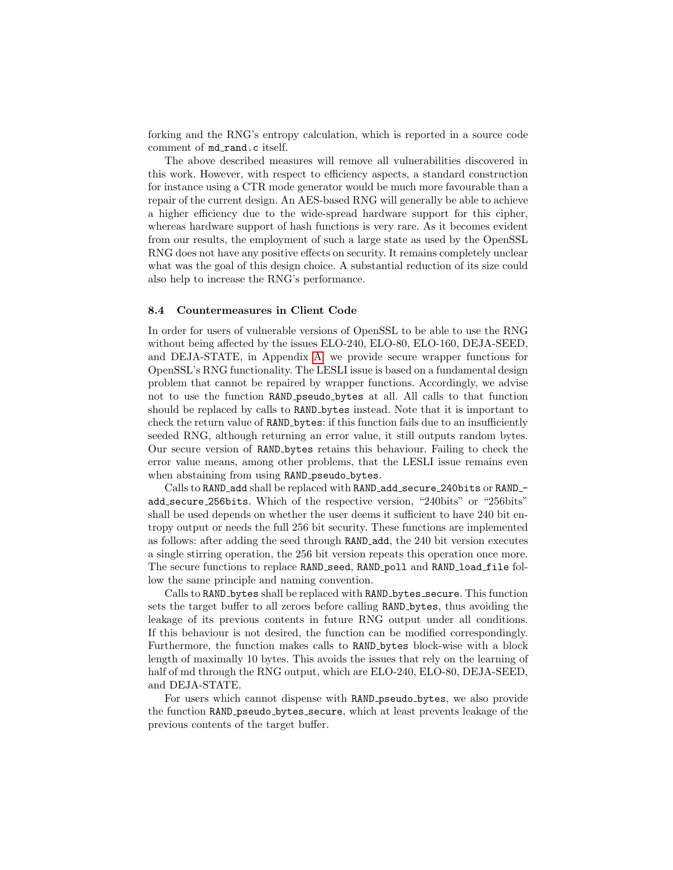forking and the RNG's entropy calculation, which is reported in a source code comment of md\_rand.c itself.

The above described measures will remove all vulnerabilities discovered in this work. However, with respect to efficiency aspects, a standard construction for instance using a CTR mode generator would be much more favourable than a repair of the current design. An AES-based RNG will generally be able to achieve a higher efficiency due to the wide-spread hardware support for this cipher, whereas hardware support of hash functions is very rare. As it becomes evident from our results, the employment of such a large state as used by the OpenSSL RNG does not have any positive effects on security. It remains completely unclear what was the goal of this design choice. A substantial reduction of its size could also help to increase the RNG's performance.

#### <span id="page-23-0"></span>8.4 Countermeasures in Client Code

In order for users of vulnerable versions of OpenSSL to be able to use the RNG without being affected by the issues ELO-240, ELO-80, ELO-160, DEJA-SEED, and DEJA-STATE, in Appendix [A,](#page-25-0) we provide secure wrapper functions for OpenSSL's RNG functionality. The LESLI issue is based on a fundamental design problem that cannot be repaired by wrapper functions. Accordingly, we advise not to use the function RAND pseudo bytes at all. All calls to that function should be replaced by calls to RAND bytes instead. Note that it is important to check the return value of RAND bytes: if this function fails due to an insufficiently seeded RNG, although returning an error value, it still outputs random bytes. Our secure version of RAND bytes retains this behaviour. Failing to check the error value means, among other problems, that the LESLI issue remains even when abstaining from using RAND pseudo bytes.

Calls to RAND add shall be replaced with RAND add secure 240bits or RAND add secure 256bits. Which of the respective version, "240bits" or "256bits" shall be used depends on whether the user deems it sufficient to have 240 bit entropy output or needs the full 256 bit security. These functions are implemented as follows: after adding the seed through RAND add, the 240 bit version executes a single stirring operation, the 256 bit version repeats this operation once more. The secure functions to replace RAND\_seed, RAND\_poll and RAND\_load\_file follow the same principle and naming convention.

Calls to RAND bytes shall be replaced with RAND bytes secure. This function sets the target buffer to all zeroes before calling RAND bytes, thus avoiding the leakage of its previous contents in future RNG output under all conditions. If this behaviour is not desired, the function can be modified correspondingly. Furthermore, the function makes calls to RAND bytes block-wise with a block length of maximally 10 bytes. This avoids the issues that rely on the learning of half of md through the RNG output, which are ELO-240, ELO-80, DEJA-SEED, and DEJA-STATE.

For users which cannot dispense with RAND pseudo bytes, we also provide the function RAND pseudo bytes secure, which at least prevents leakage of the previous contents of the target buffer.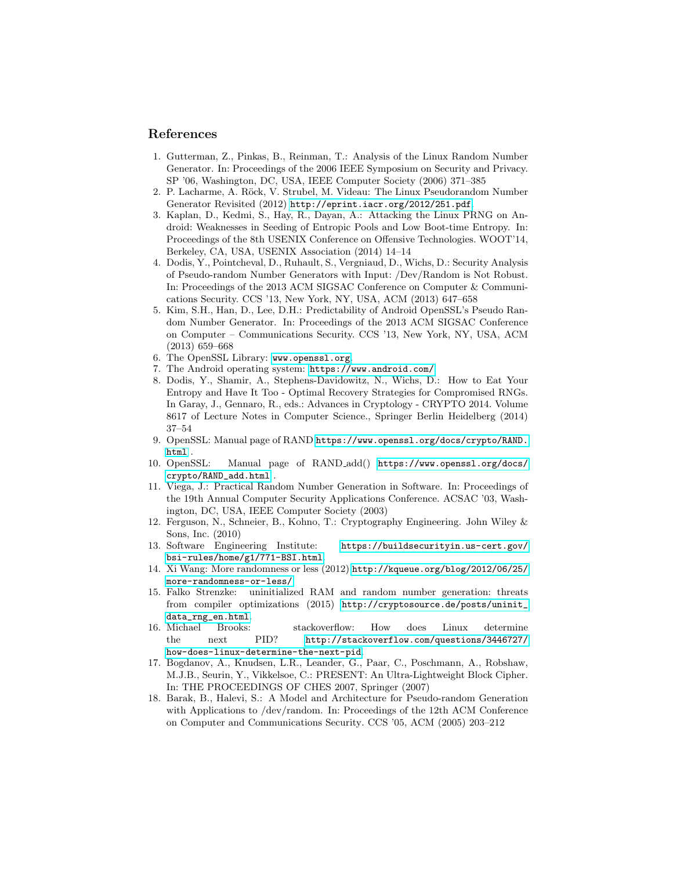## References

- <span id="page-24-0"></span>1. Gutterman, Z., Pinkas, B., Reinman, T.: Analysis of the Linux Random Number Generator. In: Proceedings of the 2006 IEEE Symposium on Security and Privacy. SP '06, Washington, DC, USA, IEEE Computer Society (2006) 371–385
- <span id="page-24-1"></span>2. P. Lacharme, A. Röck, V. Strubel, M. Videau: The Linux Pseudorandom Number Generator Revisited (2012) <http://eprint.iacr.org/2012/251.pdf>.
- <span id="page-24-2"></span>3. Kaplan, D., Kedmi, S., Hay, R., Dayan, A.: Attacking the Linux PRNG on Android: Weaknesses in Seeding of Entropic Pools and Low Boot-time Entropy. In: Proceedings of the 8th USENIX Conference on Offensive Technologies. WOOT'14, Berkeley, CA, USA, USENIX Association (2014) 14–14
- <span id="page-24-3"></span>4. Dodis, Y., Pointcheval, D., Ruhault, S., Vergniaud, D., Wichs, D.: Security Analysis of Pseudo-random Number Generators with Input: /Dev/Random is Not Robust. In: Proceedings of the 2013 ACM SIGSAC Conference on Computer & Communications Security. CCS '13, New York, NY, USA, ACM (2013) 647–658
- <span id="page-24-4"></span>5. Kim, S.H., Han, D., Lee, D.H.: Predictability of Android OpenSSL's Pseudo Random Number Generator. In: Proceedings of the 2013 ACM SIGSAC Conference on Computer – Communications Security. CCS '13, New York, NY, USA, ACM (2013) 659–668
- <span id="page-24-5"></span>6. The OpenSSL Library: <www.openssl.org>.
- <span id="page-24-6"></span>7. The Android operating system: <https://www.android.com/>.
- <span id="page-24-7"></span>8. Dodis, Y., Shamir, A., Stephens-Davidowitz, N., Wichs, D.: How to Eat Your Entropy and Have It Too - Optimal Recovery Strategies for Compromised RNGs. In Garay, J., Gennaro, R., eds.: Advances in Cryptology - CRYPTO 2014. Volume 8617 of Lecture Notes in Computer Science., Springer Berlin Heidelberg (2014) 37–54
- <span id="page-24-8"></span>9. OpenSSL: Manual page of RAND [https://www.openssl.org/docs/crypto/RAND.](https://www.openssl.org/docs/crypto/RAND.html) [html](https://www.openssl.org/docs/crypto/RAND.html) .
- <span id="page-24-9"></span>10. OpenSSL: Manual page of RAND add() [https://www.openssl.org/docs/](https://www.openssl.org/docs/crypto/RAND_add.html) [crypto/RAND\\_add.html](https://www.openssl.org/docs/crypto/RAND_add.html) .
- <span id="page-24-10"></span>11. Viega, J.: Practical Random Number Generation in Software. In: Proceedings of the 19th Annual Computer Security Applications Conference. ACSAC '03, Washington, DC, USA, IEEE Computer Society (2003)
- <span id="page-24-11"></span>12. Ferguson, N., Schneier, B., Kohno, T.: Cryptography Engineering. John Wiley & Sons, Inc. (2010)
- <span id="page-24-12"></span>13. Software Engineering Institute: [https://buildsecurityin.us-cert.gov/](https://buildsecurityin.us-cert.gov/bsi-rules/home/g1/771-BSI.html) [bsi-rules/home/g1/771-BSI.html](https://buildsecurityin.us-cert.gov/bsi-rules/home/g1/771-BSI.html).
- <span id="page-24-13"></span>14. Xi Wang: More randomness or less (2012) [http://kqueue.org/blog/2012/06/25/](http://kqueue.org/blog/2012/06/25/more-randomness-or-less/) [more-randomness-or-less/](http://kqueue.org/blog/2012/06/25/more-randomness-or-less/).
- <span id="page-24-14"></span>15. Falko Strenzke: uninitialized RAM and random number generation: threats from compiler optimizations (2015) [http://cryptosource.de/posts/uninit\\_](http://cryptosource.de/posts/uninit_data_rng_en.html) [data\\_rng\\_en.html](http://cryptosource.de/posts/uninit_data_rng_en.html).
- <span id="page-24-15"></span>16. Michael Brooks: stackoverflow: How does Linux determine the next PID? [http://stackoverflow.com/questions/3446727/](http://stackoverflow.com/questions/3446727/how-does-linux-determine-the-next-pid) [how-does-linux-determine-the-next-pid](http://stackoverflow.com/questions/3446727/how-does-linux-determine-the-next-pid).
- <span id="page-24-17"></span>17. Bogdanov, A., Knudsen, L.R., Leander, G., Paar, C., Poschmann, A., Robshaw, M.J.B., Seurin, Y., Vikkelsoe, C.: PRESENT: An Ultra-Lightweight Block Cipher. In: THE PROCEEDINGS OF CHES 2007, Springer (2007)
- <span id="page-24-16"></span>18. Barak, B., Halevi, S.: A Model and Architecture for Pseudo-random Generation with Applications to /dev/random. In: Proceedings of the 12th ACM Conference on Computer and Communications Security. CCS '05, ACM (2005) 203–212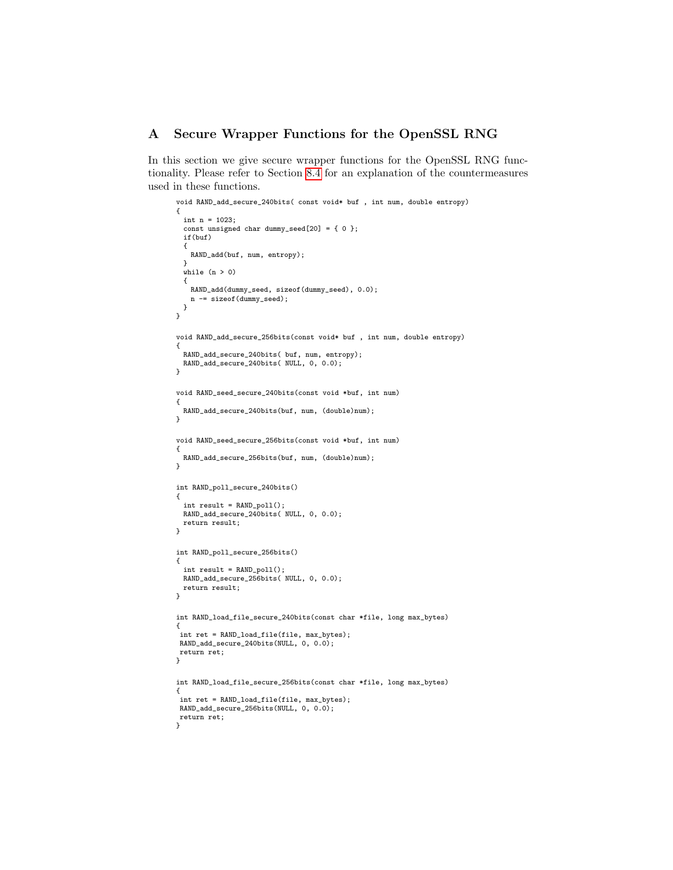## <span id="page-25-0"></span>A Secure Wrapper Functions for the OpenSSL RNG

In this section we give secure wrapper functions for the OpenSSL RNG functionality. Please refer to Section [8.4](#page-23-0) for an explanation of the countermeasures used in these functions.

```
void RAND_add_secure_240bits( const void* buf , int num, double entropy)
{
 int n = 1023;
  const unsigned char dummy_seed[20] = { 0 };
  if(buf)
  {
   RAND_add(buf, num, entropy);
  }
  while (n > 0){
   RAND_add(dummy_seed, sizeof(dummy_seed), 0.0);
   n -= sizeof(dummy_seed);
  }
}
void RAND_add_secure_256bits(const void* buf , int num, double entropy)
{
  RAND_add_secure_240bits( buf, num, entropy);
 RAND_add_secure_240bits( NULL, 0, 0.0);
}
void RAND_seed_secure_240bits(const void *buf, int num)
{
 RAND_add_secure_240bits(buf, num, (double)num);
}
void RAND_seed_secure_256bits(const void *buf, int num)
{
  RAND_add_secure_256bits(buf, num, (double)num);
}
int RAND_poll_secure_240bits()
{
  int result = RAND\_poll();
 RAND_add_secure_240bits( NULL, 0, 0.0);
 return result;
}
int RAND_poll_secure_256bits()
{
 int result = RAND_poll();
 RAND_add_secure_256bits( NULL, 0, 0.0);
 return result;
}
int RAND_load_file_secure_240bits(const char *file, long max_bytes)
{
 int ret = RAND_load_file(file, max_bytes);
 RAND_add_secure_240bits(NULL, 0, 0.0);
return ret;
}
int RAND_load_file_secure_256bits(const char *file, long max_bytes)
{
 int ret = RAND_load_file(file, max_bytes);
 RAND_add_secure_256bits(NULL, 0, 0.0);
return ret;
}
```